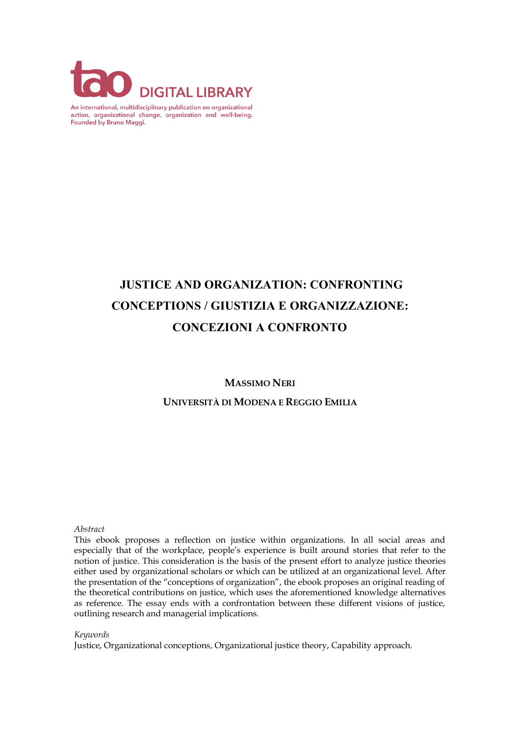

An international, multidisciplinary publication on organizational action, organizational change, organization and well-being. Founded by Bruno Maggi.

# **JUSTICE AND ORGANIZATION: CONFRONTING CONCEPTIONS / GIUSTIZIA E ORGANIZZAZIONE: CONCEZIONI A CONFRONTO**

**MASSIMO NERI**

**UNIVERSITÀ DI MODENA E REGGIO EMILIA**

#### *Abstract*

 This ebook proposes a reflection on justice within organizations. In all social areas and especially that of the workplace, people's experience is built around stories that refer to the notion of justice. This consideration is the basis of the present effort to analyze justice theories either used by organizational scholars or which can be utilized at an organizational level. After the presentation of the "conceptions of organization", the ebook proposes an original reading of the theoretical contributions on justice, which uses the aforementioned knowledge alternatives as reference. The essay ends with a confrontation between these different visions of justice, outlining research and managerial implications.

#### *Keywords*

Justice, Organizational conceptions, Organizational justice theory, Capability approach.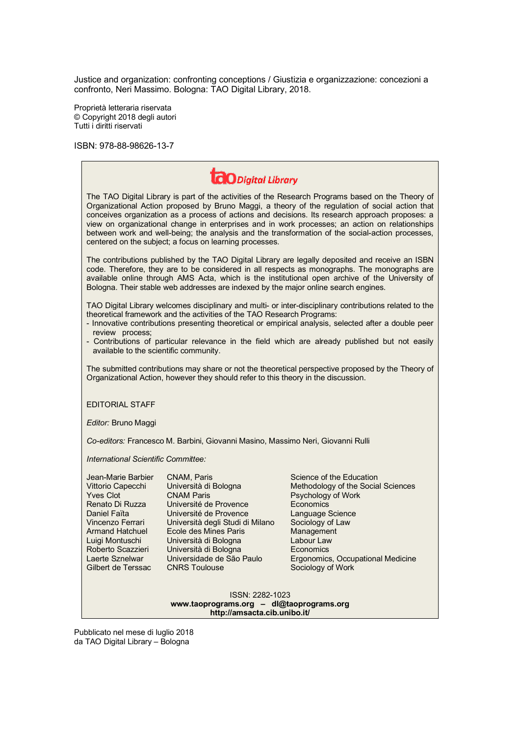Justice and organization: confronting conceptions / Giustizia e organizzazione: concezioni a confronto, Neri Massimo. Bologna: TAO Digital Library, 2018.

Proprietà letteraria riservata © Copyright 2018 degli autori Tutti i diritti riservati

ISBN: 978-88-98626-13-7

| <b>CO</b> Digital Library                                                                                                                                                                                                                                                                                                                                                                                                                                                                                                                                                |                                                                                                                                                                                                                                                                                   |                                                                                                                                                                                                                                              |
|--------------------------------------------------------------------------------------------------------------------------------------------------------------------------------------------------------------------------------------------------------------------------------------------------------------------------------------------------------------------------------------------------------------------------------------------------------------------------------------------------------------------------------------------------------------------------|-----------------------------------------------------------------------------------------------------------------------------------------------------------------------------------------------------------------------------------------------------------------------------------|----------------------------------------------------------------------------------------------------------------------------------------------------------------------------------------------------------------------------------------------|
| The TAO Digital Library is part of the activities of the Research Programs based on the Theory of<br>Organizational Action proposed by Bruno Maggi, a theory of the regulation of social action that<br>conceives organization as a process of actions and decisions. Its research approach proposes: a<br>view on organizational change in enterprises and in work processes; an action on relationships<br>between work and well-being; the analysis and the transformation of the social-action processes,<br>centered on the subject; a focus on learning processes. |                                                                                                                                                                                                                                                                                   |                                                                                                                                                                                                                                              |
| The contributions published by the TAO Digital Library are legally deposited and receive an ISBN<br>code. Therefore, they are to be considered in all respects as monographs. The monographs are<br>available online through AMS Acta, which is the institutional open archive of the University of<br>Bologna. Their stable web addresses are indexed by the major online search engines.                                                                                                                                                                               |                                                                                                                                                                                                                                                                                   |                                                                                                                                                                                                                                              |
| TAO Digital Library welcomes disciplinary and multi- or inter-disciplinary contributions related to the<br>theoretical framework and the activities of the TAO Research Programs:<br>- Innovative contributions presenting theoretical or empirical analysis, selected after a double peer<br>review process;<br>- Contributions of particular relevance in the field which are already published but not easily                                                                                                                                                         |                                                                                                                                                                                                                                                                                   |                                                                                                                                                                                                                                              |
| available to the scientific community.                                                                                                                                                                                                                                                                                                                                                                                                                                                                                                                                   |                                                                                                                                                                                                                                                                                   |                                                                                                                                                                                                                                              |
| The submitted contributions may share or not the theoretical perspective proposed by the Theory of<br>Organizational Action, however they should refer to this theory in the discussion.                                                                                                                                                                                                                                                                                                                                                                                 |                                                                                                                                                                                                                                                                                   |                                                                                                                                                                                                                                              |
| <b>EDITORIAL STAFF</b>                                                                                                                                                                                                                                                                                                                                                                                                                                                                                                                                                   |                                                                                                                                                                                                                                                                                   |                                                                                                                                                                                                                                              |
| Editor: Bruno Maggi                                                                                                                                                                                                                                                                                                                                                                                                                                                                                                                                                      |                                                                                                                                                                                                                                                                                   |                                                                                                                                                                                                                                              |
| Co-editors: Francesco M. Barbini, Giovanni Masino, Massimo Neri, Giovanni Rulli                                                                                                                                                                                                                                                                                                                                                                                                                                                                                          |                                                                                                                                                                                                                                                                                   |                                                                                                                                                                                                                                              |
| International Scientific Committee:                                                                                                                                                                                                                                                                                                                                                                                                                                                                                                                                      |                                                                                                                                                                                                                                                                                   |                                                                                                                                                                                                                                              |
| Jean-Marie Barbier<br>Vittorio Capecchi<br><b>Yves Clot</b><br>Renato Di Ruzza<br>Daniel Faïta<br>Vincenzo Ferrari<br><b>Armand Hatchuel</b><br>Luigi Montuschi<br>Roberto Scazzieri<br>Laerte Sznelwar<br>Gilbert de Terssac                                                                                                                                                                                                                                                                                                                                            | CNAM, Paris<br>Università di Bologna<br><b>CNAM Paris</b><br>Université de Provence<br>Université de Provence<br>Università degli Studi di Milano<br>Ecole des Mines Paris<br>Università di Bologna<br>Università di Bologna<br>Universidade de São Paulo<br><b>CNRS Toulouse</b> | Science of the Education<br>Methodology of the Social Sciences<br>Psychology of Work<br>Economics<br>Language Science<br>Sociology of Law<br>Management<br>Labour Law<br>Economics<br>Ergonomics, Occupational Medicine<br>Sociology of Work |
| ISSN: 2282-1023<br>www.taoprograms.org - dl@taoprograms.org<br>http://amsacta.cib.unibo.it/                                                                                                                                                                                                                                                                                                                                                                                                                                                                              |                                                                                                                                                                                                                                                                                   |                                                                                                                                                                                                                                              |

Pubblicato nel mese di luglio 2018 da TAO Digital Library – Bologna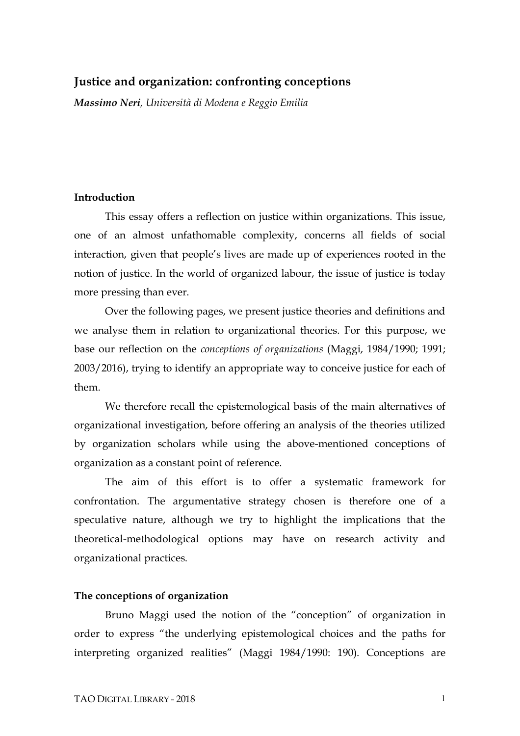### **Justice and organization: confronting conceptions**

*Massimo Neri, Università di Modena e Reggio Emilia*

#### **Introduction**

This essay offers a reflection on justice within organizations. This issue, one of an almost unfathomable complexity, concerns all fields of social interaction, given that people's lives are made up of experiences rooted in the notion of justice. In the world of organized labour, the issue of justice is today more pressing than ever.

Over the following pages, we present justice theories and definitions and we analyse them in relation to organizational theories. For this purpose, we base our reflection on the *conceptions of organizations* (Maggi, 1984/1990; 1991; 2003/2016), trying to identify an appropriate way to conceive justice for each of them.

We therefore recall the epistemological basis of the main alternatives of organizational investigation, before offering an analysis of the theories utilized by organization scholars while using the above-mentioned conceptions of organization as a constant point of reference.

The aim of this effort is to offer a systematic framework for confrontation. The argumentative strategy chosen is therefore one of a speculative nature, although we try to highlight the implications that the theoretical-methodological options may have on research activity and organizational practices.

#### **The conceptions of organization**

Bruno Maggi used the notion of the "conception" of organization in order to express "the underlying epistemological choices and the paths for interpreting organized realities" (Maggi 1984/1990: 190). Conceptions are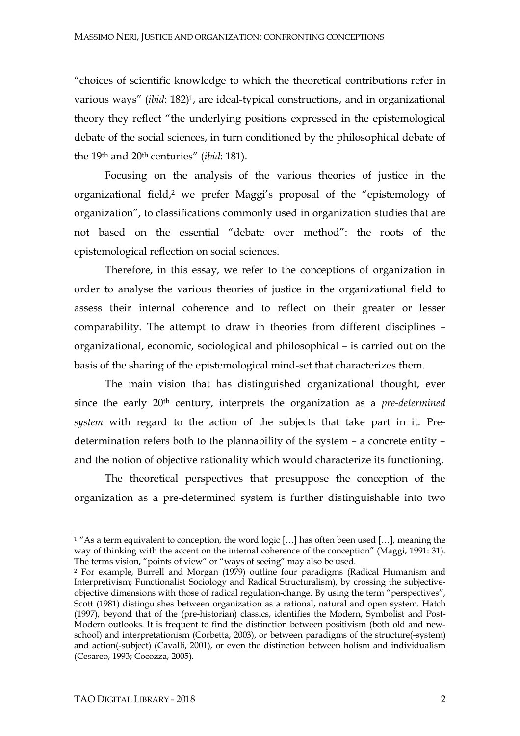"choices of scientific knowledge to which the theoretical contributions refer in various ways" (*ibid*: 182)1, are ideal-typical constructions, and in organizational theory they reflect "the underlying positions expressed in the epistemological debate of the social sciences, in turn conditioned by the philosophical debate of the 19th and 20th centuries" (*ibid*: 181).

Focusing on the analysis of the various theories of justice in the organizational field, <sup>2</sup> we prefer Maggi's proposal of the "epistemology of organization", to classifications commonly used in organization studies that are not based on the essential "debate over method": the roots of the epistemological reflection on social sciences.

Therefore, in this essay, we refer to the conceptions of organization in order to analyse the various theories of justice in the organizational field to assess their internal coherence and to reflect on their greater or lesser comparability. The attempt to draw in theories from different disciplines – organizational, economic, sociological and philosophical – is carried out on the basis of the sharing of the epistemological mind-set that characterizes them.

The main vision that has distinguished organizational thought, ever since the early 20th century, interprets the organization as a *pre-determined system* with regard to the action of the subjects that take part in it. Predetermination refers both to the plannability of the system – a concrete entity – and the notion of objective rationality which would characterize its functioning.

The theoretical perspectives that presuppose the conception of the organization as a pre-determined system is further distinguishable into two

<sup>&</sup>lt;sup>1</sup> "As a term equivalent to conception, the word logic [...] has often been used [...], meaning the way of thinking with the accent on the internal coherence of the conception" (Maggi, 1991: 31). The terms vision, "points of view" or "ways of seeing" may also be used.

<sup>2</sup> For example, Burrell and Morgan (1979) outline four paradigms (Radical Humanism and Interpretivism; Functionalist Sociology and Radical Structuralism), by crossing the subjectiveobjective dimensions with those of radical regulation-change. By using the term "perspectives", Scott (1981) distinguishes between organization as a rational, natural and open system. Hatch (1997), beyond that of the (pre-historian) classics, identifies the Modern, Symbolist and Post-Modern outlooks. It is frequent to find the distinction between positivism (both old and newschool) and interpretationism (Corbetta, 2003), or between paradigms of the structure(-system) and action(-subject) (Cavalli, 2001), or even the distinction between holism and individualism (Cesareo, 1993; Cocozza, 2005).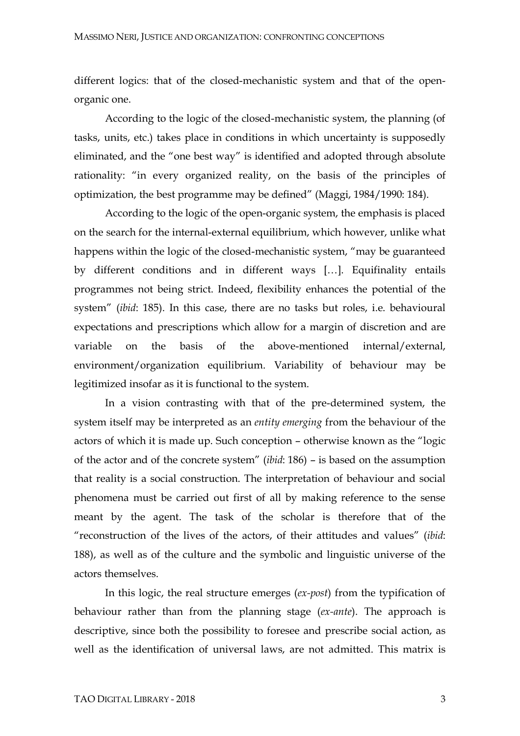different logics: that of the closed-mechanistic system and that of the openorganic one.

According to the logic of the closed-mechanistic system, the planning (of tasks, units, etc.) takes place in conditions in which uncertainty is supposedly eliminated, and the "one best way" is identified and adopted through absolute rationality: "in every organized reality, on the basis of the principles of optimization, the best programme may be defined" (Maggi, 1984/1990: 184).

According to the logic of the open-organic system, the emphasis is placed on the search for the internal-external equilibrium, which however, unlike what happens within the logic of the closed-mechanistic system, "may be guaranteed by different conditions and in different ways […]. Equifinality entails programmes not being strict. Indeed, flexibility enhances the potential of the system" (*ibid*: 185). In this case, there are no tasks but roles, i.e. behavioural expectations and prescriptions which allow for a margin of discretion and are variable on the basis of the above-mentioned internal/external, environment/organization equilibrium. Variability of behaviour may be legitimized insofar as it is functional to the system.

In a vision contrasting with that of the pre-determined system, the system itself may be interpreted as an *entity emerging* from the behaviour of the actors of which it is made up. Such conception – otherwise known as the "logic of the actor and of the concrete system" (*ibid*: 186) – is based on the assumption that reality is a social construction. The interpretation of behaviour and social phenomena must be carried out first of all by making reference to the sense meant by the agent. The task of the scholar is therefore that of the "reconstruction of the lives of the actors, of their attitudes and values" (*ibid*: 188), as well as of the culture and the symbolic and linguistic universe of the actors themselves.

In this logic, the real structure emerges (*ex-post*) from the typification of behaviour rather than from the planning stage (*ex-ante*). The approach is descriptive, since both the possibility to foresee and prescribe social action, as well as the identification of universal laws, are not admitted. This matrix is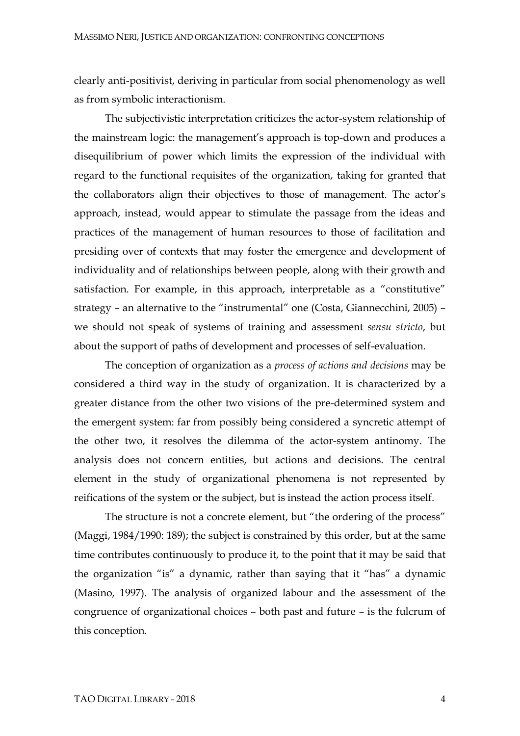clearly anti-positivist, deriving in particular from social phenomenology as well as from symbolic interactionism.

The subjectivistic interpretation criticizes the actor-system relationship of the mainstream logic: the management's approach is top-down and produces a disequilibrium of power which limits the expression of the individual with regard to the functional requisites of the organization, taking for granted that the collaborators align their objectives to those of management. The actor's approach, instead, would appear to stimulate the passage from the ideas and practices of the management of human resources to those of facilitation and presiding over of contexts that may foster the emergence and development of individuality and of relationships between people, along with their growth and satisfaction. For example, in this approach, interpretable as a "constitutive" strategy – an alternative to the "instrumental" one (Costa, Giannecchini, 2005) – we should not speak of systems of training and assessment *sensu stricto*, but about the support of paths of development and processes of self-evaluation.

The conception of organization as a *process of actions and decisions* may be considered a third way in the study of organization. It is characterized by a greater distance from the other two visions of the pre-determined system and the emergent system: far from possibly being considered a syncretic attempt of the other two, it resolves the dilemma of the actor-system antinomy. The analysis does not concern entities, but actions and decisions. The central element in the study of organizational phenomena is not represented by reifications of the system or the subject, but is instead the action process itself.

The structure is not a concrete element, but "the ordering of the process" (Maggi, 1984/1990: 189); the subject is constrained by this order, but at the same time contributes continuously to produce it, to the point that it may be said that the organization "is" a dynamic, rather than saying that it "has" a dynamic (Masino, 1997). The analysis of organized labour and the assessment of the congruence of organizational choices – both past and future – is the fulcrum of this conception.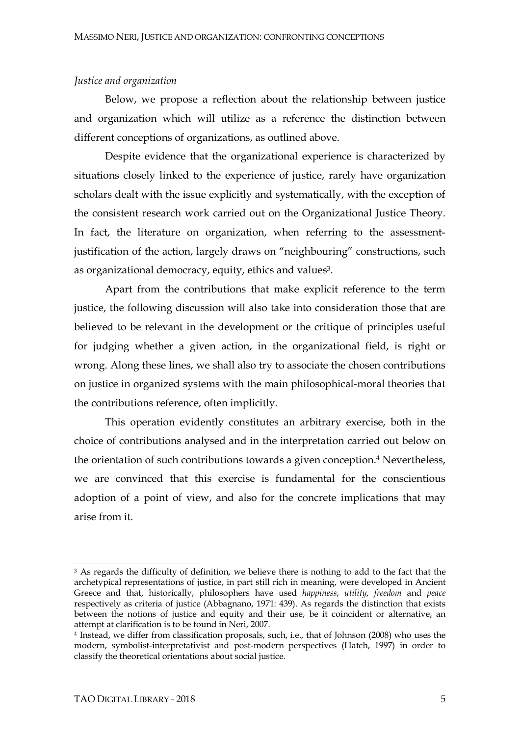#### *Justice and organization*

Below, we propose a reflection about the relationship between justice and organization which will utilize as a reference the distinction between different conceptions of organizations, as outlined above.

Despite evidence that the organizational experience is characterized by situations closely linked to the experience of justice, rarely have organization scholars dealt with the issue explicitly and systematically, with the exception of the consistent research work carried out on the Organizational Justice Theory. In fact, the literature on organization, when referring to the assessmentjustification of the action, largely draws on "neighbouring" constructions, such as organizational democracy, equity, ethics and values<sup>3</sup>.

Apart from the contributions that make explicit reference to the term justice, the following discussion will also take into consideration those that are believed to be relevant in the development or the critique of principles useful for judging whether a given action, in the organizational field, is right or wrong. Along these lines, we shall also try to associate the chosen contributions on justice in organized systems with the main philosophical-moral theories that the contributions reference, often implicitly.

This operation evidently constitutes an arbitrary exercise, both in the choice of contributions analysed and in the interpretation carried out below on the orientation of such contributions towards a given conception. <sup>4</sup> Nevertheless, we are convinced that this exercise is fundamental for the conscientious adoption of a point of view, and also for the concrete implications that may arise from it.

<sup>&</sup>lt;sup>3</sup> As regards the difficulty of definition, we believe there is nothing to add to the fact that the archetypical representations of justice, in part still rich in meaning, were developed in Ancient Greece and that, historically, philosophers have used *happiness*, *utility*, *freedom* and *peace* respectively as criteria of justice (Abbagnano, 1971: 439). As regards the distinction that exists between the notions of justice and equity and their use, be it coincident or alternative, an attempt at clarification is to be found in Neri, 2007.

<sup>4</sup> Instead, we differ from classification proposals, such, i.e., that of Johnson (2008) who uses the modern, symbolist-interpretativist and post-modern perspectives (Hatch, 1997) in order to classify the theoretical orientations about social justice.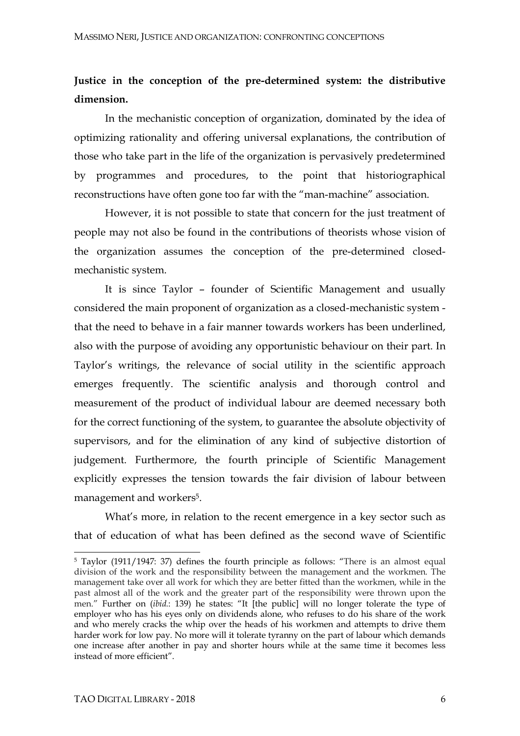## **Justice in the conception of the pre-determined system: the distributive dimension.**

In the mechanistic conception of organization, dominated by the idea of optimizing rationality and offering universal explanations, the contribution of those who take part in the life of the organization is pervasively predetermined by programmes and procedures, to the point that historiographical reconstructions have often gone too far with the "man-machine" association.

However, it is not possible to state that concern for the just treatment of people may not also be found in the contributions of theorists whose vision of the organization assumes the conception of the pre-determined closedmechanistic system.

It is since Taylor – founder of Scientific Management and usually considered the main proponent of organization as a closed-mechanistic system that the need to behave in a fair manner towards workers has been underlined, also with the purpose of avoiding any opportunistic behaviour on their part. In Taylor's writings, the relevance of social utility in the scientific approach emerges frequently. The scientific analysis and thorough control and measurement of the product of individual labour are deemed necessary both for the correct functioning of the system, to guarantee the absolute objectivity of supervisors, and for the elimination of any kind of subjective distortion of judgement. Furthermore, the fourth principle of Scientific Management explicitly expresses the tension towards the fair division of labour between management and workers5.

What's more, in relation to the recent emergence in a key sector such as that of education of what has been defined as the second wave of Scientific

<sup>5</sup> Taylor (1911/1947: 37) defines the fourth principle as follows: "There is an almost equal division of the work and the responsibility between the management and the workmen. The management take over all work for which they are better fitted than the workmen, while in the past almost all of the work and the greater part of the responsibility were thrown upon the men." Further on *(ibid.*: 139) he states: "It [the public] will no longer tolerate the type of employer who has his eyes only on dividends alone, who refuses to do his share of the work and who merely cracks the whip over the heads of his workmen and attempts to drive them harder work for low pay. No more will it tolerate tyranny on the part of labour which demands one increase after another in pay and shorter hours while at the same time it becomes less instead of more efficient".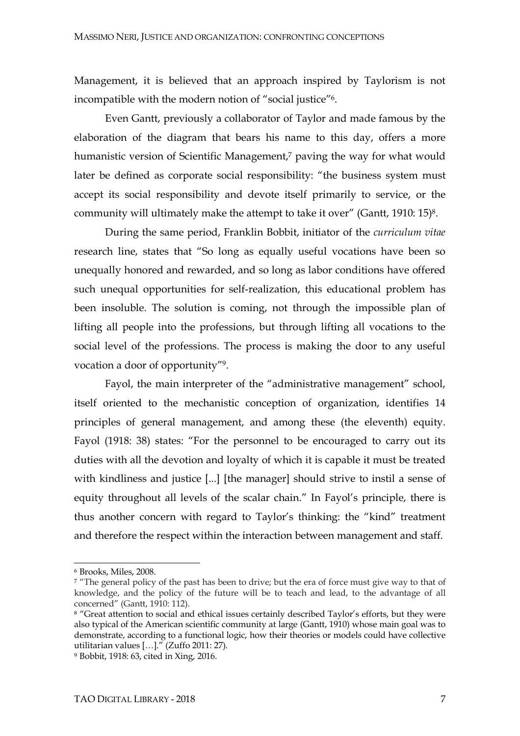Management, it is believed that an approach inspired by Taylorism is not incompatible with the modern notion of "social justice"6.

Even Gantt, previously a collaborator of Taylor and made famous by the elaboration of the diagram that bears his name to this day, offers a more humanistic version of Scientific Management,<sup>7</sup> paving the way for what would later be defined as corporate social responsibility: "the business system must accept its social responsibility and devote itself primarily to service, or the community will ultimately make the attempt to take it over" (Gantt, 1910: 15)8.

During the same period, Franklin Bobbit, initiator of the *curriculum vitae* research line, states that "So long as equally useful vocations have been so unequally honored and rewarded, and so long as labor conditions have offered such unequal opportunities for self-realization, this educational problem has been insoluble. The solution is coming, not through the impossible plan of lifting all people into the professions, but through lifting all vocations to the social level of the professions. The process is making the door to any useful vocation a door of opportunity"9.

Fayol, the main interpreter of the "administrative management" school, itself oriented to the mechanistic conception of organization, identifies 14 principles of general management, and among these (the eleventh) equity. Fayol (1918: 38) states: "For the personnel to be encouraged to carry out its duties with all the devotion and loyalty of which it is capable it must be treated with kindliness and justice [...] [the manager] should strive to instil a sense of equity throughout all levels of the scalar chain." In Fayol's principle, there is thus another concern with regard to Taylor's thinking: the "kind" treatment and therefore the respect within the interaction between management and staff.

<sup>6</sup> Brooks, Miles, 2008.

<sup>&</sup>lt;sup>7</sup> "The general policy of the past has been to drive; but the era of force must give way to that of knowledge, and the policy of the future will be to teach and lead, to the advantage of all concerned" (Gantt, 1910: 112).

<sup>&</sup>lt;sup>8</sup> "Great attention to social and ethical issues certainly described Taylor's efforts, but they were also typical of the American scientific community at large (Gantt, 1910) whose main goal was to demonstrate, according to a functional logic, how their theories or models could have collective utilitarian values […]." (Zuffo 2011: 27).

<sup>9</sup> Bobbit, 1918: 63, cited in Xing, 2016.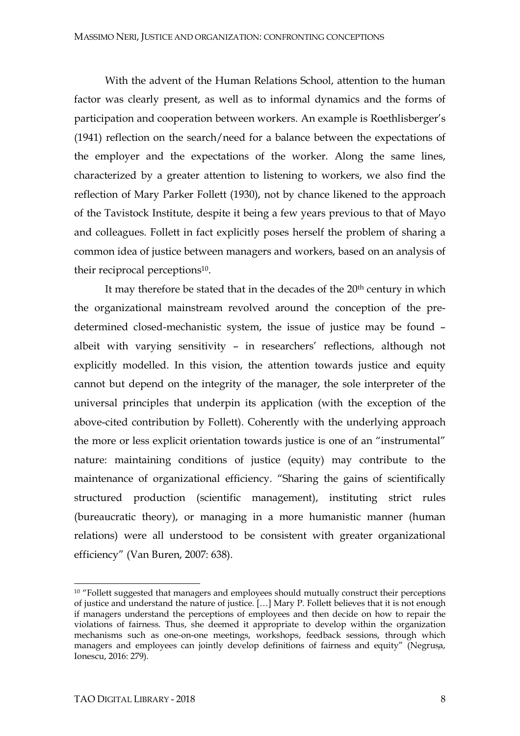With the advent of the Human Relations School, attention to the human factor was clearly present, as well as to informal dynamics and the forms of participation and cooperation between workers. An example is Roethlisberger's (1941) reflection on the search/need for a balance between the expectations of the employer and the expectations of the worker. Along the same lines, characterized by a greater attention to listening to workers, we also find the reflection of Mary Parker Follett (1930), not by chance likened to the approach of the Tavistock Institute, despite it being a few years previous to that of Mayo and colleagues*.* Follett in fact explicitly poses herself the problem of sharing a common idea of justice between managers and workers, based on an analysis of their reciprocal perceptions<sup>10</sup>.

It may therefore be stated that in the decades of the 20<sup>th</sup> century in which the organizational mainstream revolved around the conception of the predetermined closed-mechanistic system, the issue of justice may be found – albeit with varying sensitivity – in researchers' reflections, although not explicitly modelled. In this vision, the attention towards justice and equity cannot but depend on the integrity of the manager, the sole interpreter of the universal principles that underpin its application (with the exception of the above-cited contribution by Follett). Coherently with the underlying approach the more or less explicit orientation towards justice is one of an "instrumental" nature: maintaining conditions of justice (equity) may contribute to the maintenance of organizational efficiency. "Sharing the gains of scientifically structured production (scientific management), instituting strict rules (bureaucratic theory), or managing in a more humanistic manner (human relations) were all understood to be consistent with greater organizational efficiency" (Van Buren, 2007: 638).

<sup>&</sup>lt;sup>10</sup> "Follett suggested that managers and employees should mutually construct their perceptions of justice and understand the nature of justice. […] Mary P. Follett believes that it is not enough if managers understand the perceptions of employees and then decide on how to repair the violations of fairness. Thus, she deemed it appropriate to develop within the organization mechanisms such as one-on-one meetings, workshops, feedback sessions, through which managers and employees can jointly develop definitions of fairness and equity" (Negrusa, Ionescu, 2016: 279).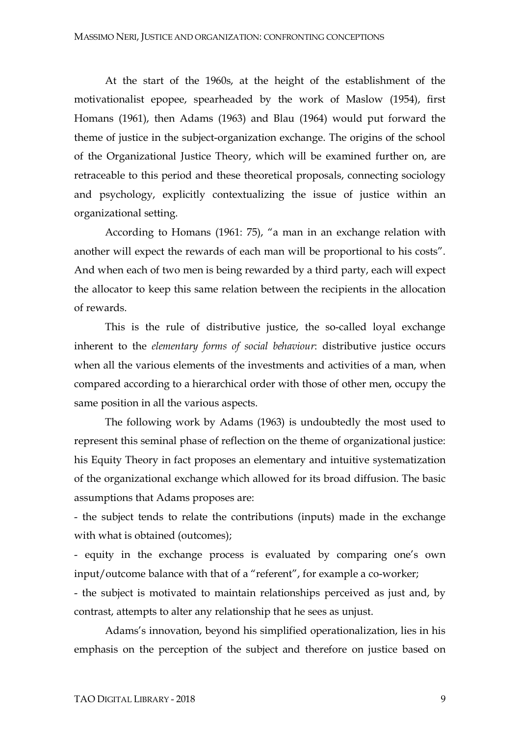At the start of the 1960s, at the height of the establishment of the motivationalist epopee, spearheaded by the work of Maslow (1954), first Homans (1961), then Adams (1963) and Blau (1964) would put forward the theme of justice in the subject-organization exchange. The origins of the school of the Organizational Justice Theory, which will be examined further on, are retraceable to this period and these theoretical proposals, connecting sociology and psychology, explicitly contextualizing the issue of justice within an organizational setting.

According to Homans (1961: 75), "a man in an exchange relation with another will expect the rewards of each man will be proportional to his costs". And when each of two men is being rewarded by a third party, each will expect the allocator to keep this same relation between the recipients in the allocation of rewards.

This is the rule of distributive justice, the so-called loyal exchange inherent to the *elementary forms of social behaviour*: distributive justice occurs when all the various elements of the investments and activities of a man, when compared according to a hierarchical order with those of other men, occupy the same position in all the various aspects.

The following work by Adams (1963) is undoubtedly the most used to represent this seminal phase of reflection on the theme of organizational justice: his Equity Theory in fact proposes an elementary and intuitive systematization of the organizational exchange which allowed for its broad diffusion. The basic assumptions that Adams proposes are:

- the subject tends to relate the contributions (inputs) made in the exchange with what is obtained (outcomes);

- equity in the exchange process is evaluated by comparing one's own input/outcome balance with that of a "referent", for example a co-worker;

- the subject is motivated to maintain relationships perceived as just and, by contrast, attempts to alter any relationship that he sees as unjust.

Adams's innovation, beyond his simplified operationalization, lies in his emphasis on the perception of the subject and therefore on justice based on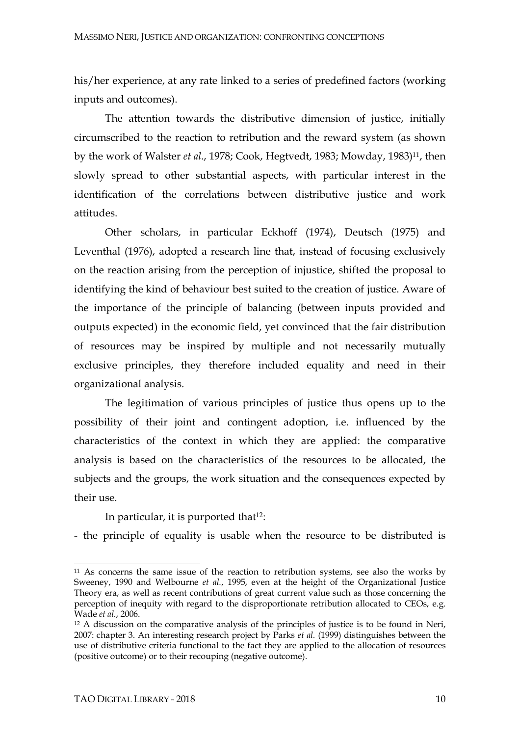his/her experience, at any rate linked to a series of predefined factors (working inputs and outcomes).

The attention towards the distributive dimension of justice, initially circumscribed to the reaction to retribution and the reward system (as shown by the work of Walster *et al.*, 1978; Cook, Hegtvedt, 1983; Mowday, 1983)11, then slowly spread to other substantial aspects, with particular interest in the identification of the correlations between distributive justice and work attitudes.

Other scholars, in particular Eckhoff (1974), Deutsch (1975) and Leventhal (1976), adopted a research line that, instead of focusing exclusively on the reaction arising from the perception of injustice, shifted the proposal to identifying the kind of behaviour best suited to the creation of justice. Aware of the importance of the principle of balancing (between inputs provided and outputs expected) in the economic field, yet convinced that the fair distribution of resources may be inspired by multiple and not necessarily mutually exclusive principles, they therefore included equality and need in their organizational analysis.

The legitimation of various principles of justice thus opens up to the possibility of their joint and contingent adoption, i.e. influenced by the characteristics of the context in which they are applied: the comparative analysis is based on the characteristics of the resources to be allocated, the subjects and the groups, the work situation and the consequences expected by their use.

In particular, it is purported that $12$ :

- the principle of equality is usable when the resource to be distributed is

<sup>11</sup> As concerns the same issue of the reaction to retribution systems, see also the works by Sweeney, 1990 and Welbourne *et al.*, 1995, even at the height of the Organizational Justice Theory era, as well as recent contributions of great current value such as those concerning the perception of inequity with regard to the disproportionate retribution allocated to CEOs, e.g. Wade *et al.*, 2006.

<sup>&</sup>lt;sup>12</sup> A discussion on the comparative analysis of the principles of justice is to be found in Neri, 2007: chapter 3. An interesting research project by Parks *et al.* (1999) distinguishes between the use of distributive criteria functional to the fact they are applied to the allocation of resources (positive outcome) or to their recouping (negative outcome).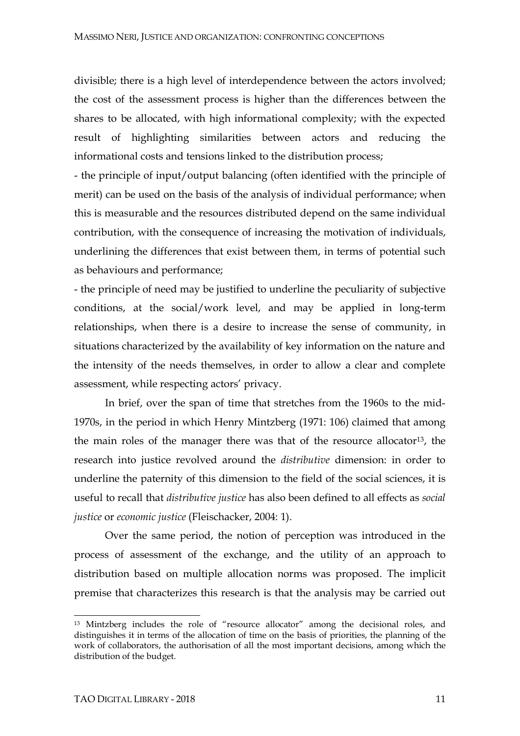divisible; there is a high level of interdependence between the actors involved; the cost of the assessment process is higher than the differences between the shares to be allocated, with high informational complexity; with the expected result of highlighting similarities between actors and reducing the informational costs and tensions linked to the distribution process;

- the principle of input/output balancing (often identified with the principle of merit) can be used on the basis of the analysis of individual performance; when this is measurable and the resources distributed depend on the same individual contribution, with the consequence of increasing the motivation of individuals, underlining the differences that exist between them, in terms of potential such as behaviours and performance;

- the principle of need may be justified to underline the peculiarity of subjective conditions, at the social/work level, and may be applied in long-term relationships, when there is a desire to increase the sense of community, in situations characterized by the availability of key information on the nature and the intensity of the needs themselves, in order to allow a clear and complete assessment, while respecting actors' privacy.

In brief, over the span of time that stretches from the 1960s to the mid-1970s, in the period in which Henry Mintzberg (1971: 106) claimed that among the main roles of the manager there was that of the resource allocator13, the research into justice revolved around the *distributive* dimension: in order to underline the paternity of this dimension to the field of the social sciences, it is useful to recall that *distributive justice* has also been defined to all effects as *social justice* or *economic justice* (Fleischacker, 2004: 1).

Over the same period, the notion of perception was introduced in the process of assessment of the exchange, and the utility of an approach to distribution based on multiple allocation norms was proposed. The implicit premise that characterizes this research is that the analysis may be carried out

<sup>13</sup> Mintzberg includes the role of "resource allocator" among the decisional roles, and distinguishes it in terms of the allocation of time on the basis of priorities, the planning of the work of collaborators, the authorisation of all the most important decisions, among which the distribution of the budget.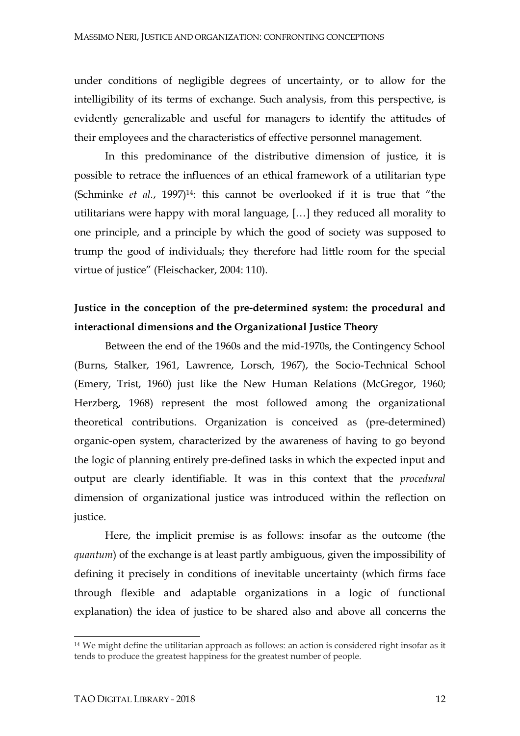under conditions of negligible degrees of uncertainty, or to allow for the intelligibility of its terms of exchange. Such analysis, from this perspective, is evidently generalizable and useful for managers to identify the attitudes of their employees and the characteristics of effective personnel management.

In this predominance of the distributive dimension of justice, it is possible to retrace the influences of an ethical framework of a utilitarian type (Schminke *et al.*, 1997)14: this cannot be overlooked if it is true that "the utilitarians were happy with moral language, […] they reduced all morality to one principle, and a principle by which the good of society was supposed to trump the good of individuals; they therefore had little room for the special virtue of justice" (Fleischacker, 2004: 110).

## **Justice in the conception of the pre-determined system: the procedural and interactional dimensions and the Organizational Justice Theory**

Between the end of the 1960s and the mid-1970s, the Contingency School (Burns, Stalker, 1961, Lawrence, Lorsch, 1967), the Socio-Technical School (Emery, Trist, 1960) just like the New Human Relations (McGregor, 1960; Herzberg, 1968) represent the most followed among the organizational theoretical contributions. Organization is conceived as (pre-determined) organic-open system, characterized by the awareness of having to go beyond the logic of planning entirely pre-defined tasks in which the expected input and output are clearly identifiable. It was in this context that the *procedural* dimension of organizational justice was introduced within the reflection on justice.

Here, the implicit premise is as follows: insofar as the outcome (the *quantum*) of the exchange is at least partly ambiguous, given the impossibility of defining it precisely in conditions of inevitable uncertainty (which firms face through flexible and adaptable organizations in a logic of functional explanation) the idea of justice to be shared also and above all concerns the

<sup>&</sup>lt;sup>14</sup> We might define the utilitarian approach as follows: an action is considered right insofar as it tends to produce the greatest happiness for the greatest number of people.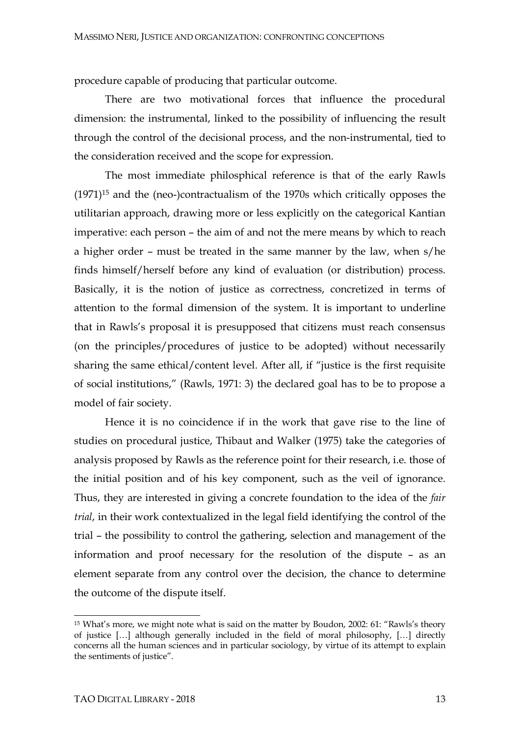procedure capable of producing that particular outcome.

There are two motivational forces that influence the procedural dimension: the instrumental, linked to the possibility of influencing the result through the control of the decisional process, and the non-instrumental, tied to the consideration received and the scope for expression.

The most immediate philosphical reference is that of the early Rawls  $(1971)^{15}$  and the (neo-)contractualism of the 1970s which critically opposes the utilitarian approach, drawing more or less explicitly on the categorical Kantian imperative: each person – the aim of and not the mere means by which to reach a higher order – must be treated in the same manner by the law, when s/he finds himself/herself before any kind of evaluation (or distribution) process. Basically, it is the notion of justice as correctness, concretized in terms of attention to the formal dimension of the system. It is important to underline that in Rawls's proposal it is presupposed that citizens must reach consensus (on the principles/procedures of justice to be adopted) without necessarily sharing the same ethical/content level. After all, if "justice is the first requisite of social institutions," (Rawls, 1971: 3) the declared goal has to be to propose a model of fair society.

Hence it is no coincidence if in the work that gave rise to the line of studies on procedural justice, Thibaut and Walker (1975) take the categories of analysis proposed by Rawls as the reference point for their research, i.e. those of the initial position and of his key component, such as the veil of ignorance. Thus, they are interested in giving a concrete foundation to the idea of the *fair trial*, in their work contextualized in the legal field identifying the control of the trial – the possibility to control the gathering, selection and management of the information and proof necessary for the resolution of the dispute – as an element separate from any control over the decision, the chance to determine the outcome of the dispute itself.

<sup>15</sup> What's more, we might note what is said on the matter by Boudon, 2002: 61: "Rawls's theory of justice […] although generally included in the field of moral philosophy, […] directly concerns all the human sciences and in particular sociology, by virtue of its attempt to explain the sentiments of justice".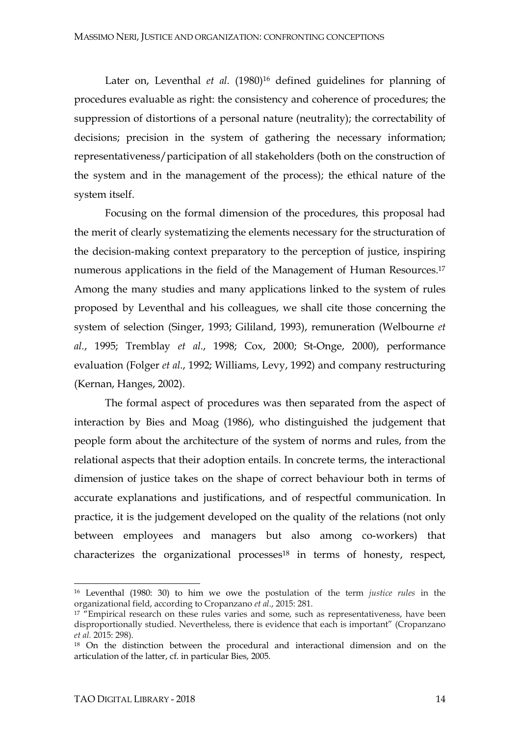Later on, Leventhal et al. (1980)<sup>16</sup> defined guidelines for planning of procedures evaluable as right: the consistency and coherence of procedures; the suppression of distortions of a personal nature (neutrality); the correctability of decisions; precision in the system of gathering the necessary information; representativeness/participation of all stakeholders (both on the construction of the system and in the management of the process); the ethical nature of the system itself.

Focusing on the formal dimension of the procedures, this proposal had the merit of clearly systematizing the elements necessary for the structuration of the decision-making context preparatory to the perception of justice, inspiring numerous applications in the field of the Management of Human Resources. 17 Among the many studies and many applications linked to the system of rules proposed by Leventhal and his colleagues, we shall cite those concerning the system of selection (Singer, 1993; Gililand, 1993), remuneration (Welbourne *et al.*, 1995; Tremblay *et al.*, 1998; Cox, 2000; St-Onge, 2000), performance evaluation (Folger *et al.*, 1992; Williams, Levy, 1992) and company restructuring (Kernan, Hanges, 2002).

The formal aspect of procedures was then separated from the aspect of interaction by Bies and Moag (1986), who distinguished the judgement that people form about the architecture of the system of norms and rules, from the relational aspects that their adoption entails. In concrete terms, the interactional dimension of justice takes on the shape of correct behaviour both in terms of accurate explanations and justifications, and of respectful communication. In practice, it is the judgement developed on the quality of the relations (not only between employees and managers but also among co-workers) that characterizes the organizational processes<sup>18</sup> in terms of honesty, respect,

<sup>16</sup> Leventhal (1980: 30) to him we owe the postulation of the term *justice rules* in the organizational field, according to Cropanzano *et al.*, 2015: 281.

<sup>&</sup>lt;sup>17</sup> "Empirical research on these rules varies and some, such as representativeness, have been disproportionally studied. Nevertheless, there is evidence that each is important" (Cropanzano *et al.* 2015: 298).

<sup>18</sup> On the distinction between the procedural and interactional dimension and on the articulation of the latter, cf. in particular Bies, 2005.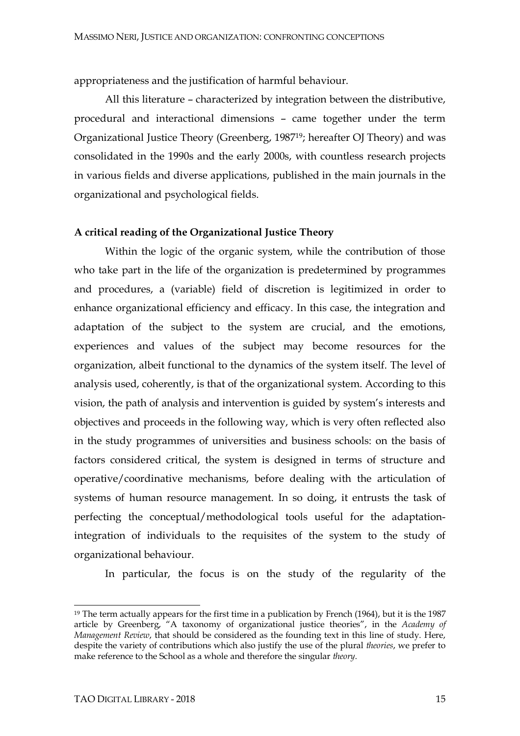appropriateness and the justification of harmful behaviour.

All this literature – characterized by integration between the distributive, procedural and interactional dimensions – came together under the term Organizational Justice Theory (Greenberg, 198719; hereafter OJ Theory) and was consolidated in the 1990s and the early 2000s, with countless research projects in various fields and diverse applications, published in the main journals in the organizational and psychological fields.

#### **A critical reading of the Organizational Justice Theory**

Within the logic of the organic system, while the contribution of those who take part in the life of the organization is predetermined by programmes and procedures, a (variable) field of discretion is legitimized in order to enhance organizational efficiency and efficacy. In this case, the integration and adaptation of the subject to the system are crucial, and the emotions, experiences and values of the subject may become resources for the organization, albeit functional to the dynamics of the system itself. The level of analysis used, coherently, is that of the organizational system. According to this vision, the path of analysis and intervention is guided by system's interests and objectives and proceeds in the following way, which is very often reflected also in the study programmes of universities and business schools: on the basis of factors considered critical, the system is designed in terms of structure and operative/coordinative mechanisms, before dealing with the articulation of systems of human resource management. In so doing, it entrusts the task of perfecting the conceptual/methodological tools useful for the adaptationintegration of individuals to the requisites of the system to the study of organizational behaviour.

In particular, the focus is on the study of the regularity of the

l <sup>19</sup> The term actually appears for the first time in a publication by French (1964), but it is the 1987 article by Greenberg, "A taxonomy of organizational justice theories", in the *Academy of Management Review*, that should be considered as the founding text in this line of study. Here, despite the variety of contributions which also justify the use of the plural *theories*, we prefer to make reference to the School as a whole and therefore the singular *theory*.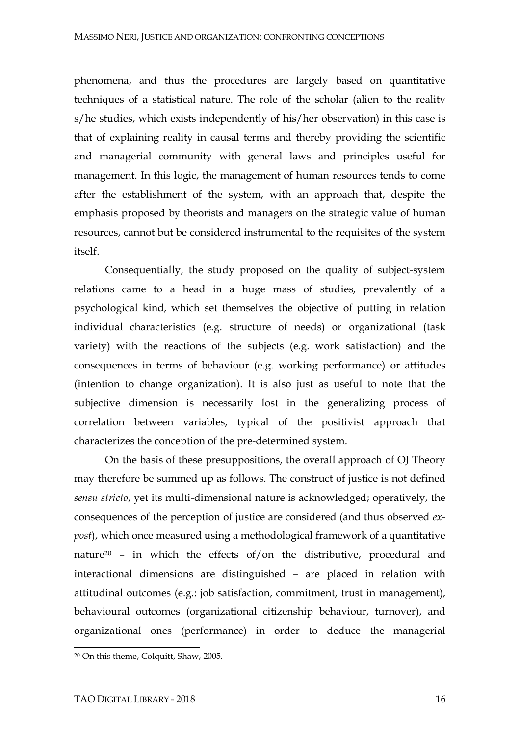phenomena, and thus the procedures are largely based on quantitative techniques of a statistical nature. The role of the scholar (alien to the reality s/he studies, which exists independently of his/her observation) in this case is that of explaining reality in causal terms and thereby providing the scientific and managerial community with general laws and principles useful for management. In this logic, the management of human resources tends to come after the establishment of the system, with an approach that, despite the emphasis proposed by theorists and managers on the strategic value of human resources, cannot but be considered instrumental to the requisites of the system itself.

Consequentially, the study proposed on the quality of subject-system relations came to a head in a huge mass of studies, prevalently of a psychological kind, which set themselves the objective of putting in relation individual characteristics (e.g. structure of needs) or organizational (task variety) with the reactions of the subjects (e.g. work satisfaction) and the consequences in terms of behaviour (e.g. working performance) or attitudes (intention to change organization). It is also just as useful to note that the subjective dimension is necessarily lost in the generalizing process of correlation between variables, typical of the positivist approach that characterizes the conception of the pre-determined system.

On the basis of these presuppositions, the overall approach of OJ Theory may therefore be summed up as follows. The construct of justice is not defined *sensu stricto*, yet its multi-dimensional nature is acknowledged; operatively, the consequences of the perception of justice are considered (and thus observed *expost*), which once measured using a methodological framework of a quantitative nature<sup>20</sup> – in which the effects of/on the distributive, procedural and interactional dimensions are distinguished – are placed in relation with attitudinal outcomes (e.g.: job satisfaction, commitment, trust in management), behavioural outcomes (organizational citizenship behaviour, turnover), and organizational ones (performance) in order to deduce the managerial

<sup>20</sup> On this theme, Colquitt, Shaw, 2005.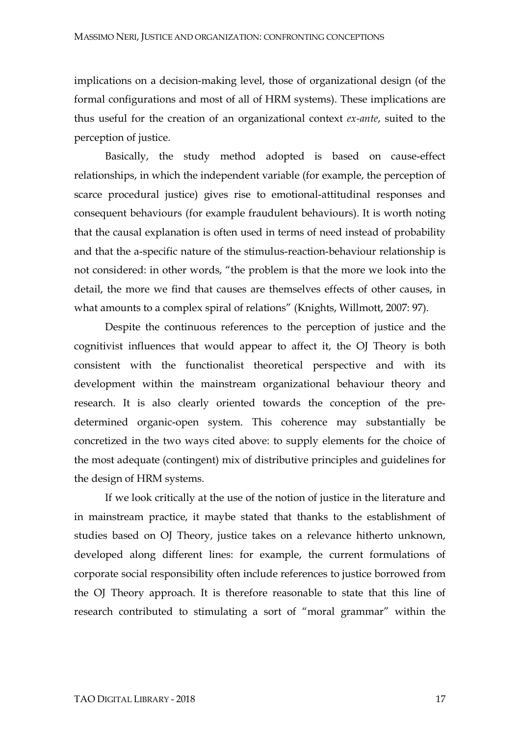implications on a decision-making level, those of organizational design (of the formal configurations and most of all of HRM systems). These implications are thus useful for the creation of an organizational context *ex-ante*, suited to the perception of justice.

Basically, the study method adopted is based on cause-effect relationships, in which the independent variable (for example, the perception of scarce procedural justice) gives rise to emotional-attitudinal responses and consequent behaviours (for example fraudulent behaviours). It is worth noting that the causal explanation is often used in terms of need instead of probability and that the a-specific nature of the stimulus-reaction-behaviour relationship is not considered: in other words, "the problem is that the more we look into the detail, the more we find that causes are themselves effects of other causes, in what amounts to a complex spiral of relations" (Knights, Willmott, 2007: 97).

Despite the continuous references to the perception of justice and the cognitivist influences that would appear to affect it, the OJ Theory is both consistent with the functionalist theoretical perspective and with its development within the mainstream organizational behaviour theory and research. It is also clearly oriented towards the conception of the predetermined organic-open system. This coherence may substantially be concretized in the two ways cited above: to supply elements for the choice of the most adequate (contingent) mix of distributive principles and guidelines for the design of HRM systems.

If we look critically at the use of the notion of justice in the literature and in mainstream practice, it maybe stated that thanks to the establishment of studies based on OJ Theory, justice takes on a relevance hitherto unknown, developed along different lines: for example, the current formulations of corporate social responsibility often include references to justice borrowed from the OJ Theory approach. It is therefore reasonable to state that this line of research contributed to stimulating a sort of "moral grammar" within the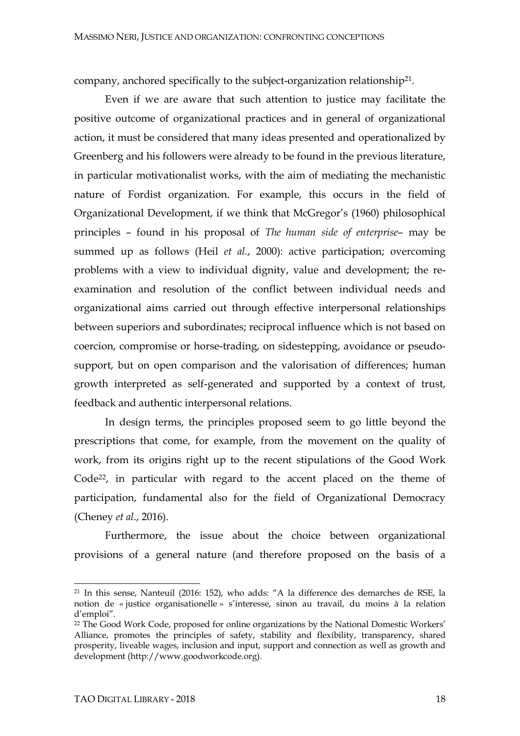company, anchored specifically to the subject-organization relationship21.

Even if we are aware that such attention to justice may facilitate the positive outcome of organizational practices and in general of organizational action, it must be considered that many ideas presented and operationalized by Greenberg and his followers were already to be found in the previous literature, in particular motivationalist works, with the aim of mediating the mechanistic nature of Fordist organization. For example, this occurs in the field of Organizational Development, if we think that McGregor's (1960) philosophical principles – found in his proposal of *The human side of enterprise*– may be summed up as follows (Heil *et al.*, 2000): active participation; overcoming problems with a view to individual dignity, value and development; the reexamination and resolution of the conflict between individual needs and organizational aims carried out through effective interpersonal relationships between superiors and subordinates; reciprocal influence which is not based on coercion, compromise or horse-trading, on sidestepping, avoidance or pseudosupport, but on open comparison and the valorisation of differences; human growth interpreted as self-generated and supported by a context of trust, feedback and authentic interpersonal relations.

In design terms, the principles proposed seem to go little beyond the prescriptions that come, for example, from the movement on the quality of work, from its origins right up to the recent stipulations of the Good Work Code<sup>22</sup>, in particular with regard to the accent placed on the theme of participation, fundamental also for the field of Organizational Democracy (Cheney *et al*., 2016).

Furthermore, the issue about the choice between organizational provisions of a general nature (and therefore proposed on the basis of a

<sup>21</sup> In this sense, Nanteuil (2016: 152), who adds: "A la difference des demarches de RSE, la notion de « justice organisationelle » s'interesse, sinon au travail, du moins à la relation d'emploi".

<sup>22</sup> The Good Work Code, proposed for online organizations by the National Domestic Workers' Alliance, promotes the principles of safety, stability and flexibility, transparency, shared prosperity, liveable wages, inclusion and input, support and connection as well as growth and development (http://www.goodworkcode.org).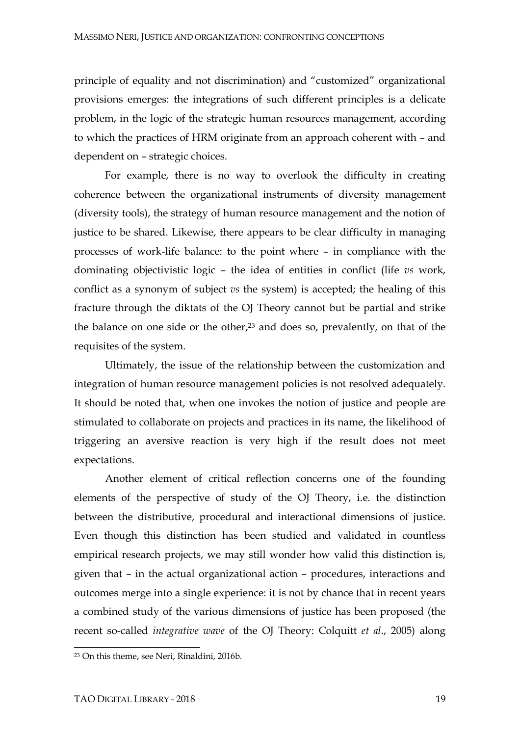principle of equality and not discrimination) and "customized" organizational provisions emerges: the integrations of such different principles is a delicate problem, in the logic of the strategic human resources management, according to which the practices of HRM originate from an approach coherent with – and dependent on – strategic choices.

For example, there is no way to overlook the difficulty in creating coherence between the organizational instruments of diversity management (diversity tools), the strategy of human resource management and the notion of justice to be shared. Likewise, there appears to be clear difficulty in managing processes of work-life balance: to the point where – in compliance with the dominating objectivistic logic – the idea of entities in conflict (life *vs* work, conflict as a synonym of subject *vs* the system) is accepted; the healing of this fracture through the diktats of the OJ Theory cannot but be partial and strike the balance on one side or the other, <sup>23</sup> and does so, prevalently, on that of the requisites of the system.

Ultimately, the issue of the relationship between the customization and integration of human resource management policies is not resolved adequately. It should be noted that, when one invokes the notion of justice and people are stimulated to collaborate on projects and practices in its name, the likelihood of triggering an aversive reaction is very high if the result does not meet expectations.

Another element of critical reflection concerns one of the founding elements of the perspective of study of the OJ Theory, i.e. the distinction between the distributive, procedural and interactional dimensions of justice. Even though this distinction has been studied and validated in countless empirical research projects, we may still wonder how valid this distinction is, given that – in the actual organizational action – procedures, interactions and outcomes merge into a single experience: it is not by chance that in recent years a combined study of the various dimensions of justice has been proposed (the recent so-called *integrative wave* of the OJ Theory: Colquitt *et al*., 2005) along

<sup>23</sup> On this theme, see Neri, Rinaldini, 2016b.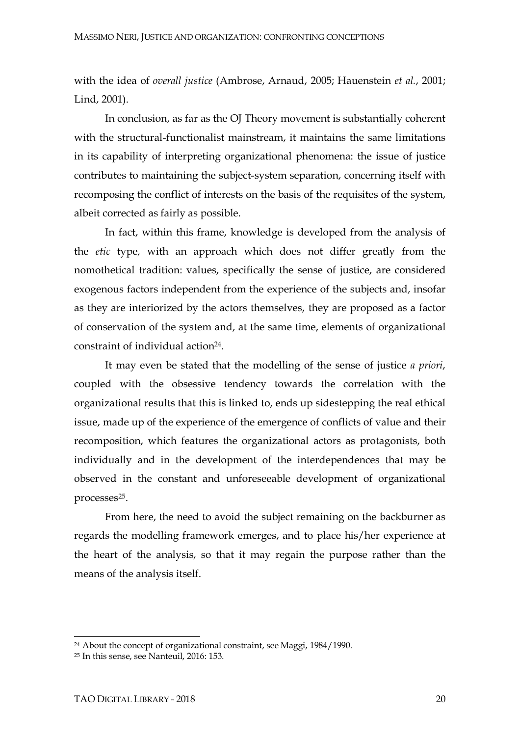with the idea of *overall justice* (Ambrose, Arnaud, 2005; Hauenstein *et al.*, 2001; Lind, 2001).

In conclusion, as far as the OJ Theory movement is substantially coherent with the structural-functionalist mainstream, it maintains the same limitations in its capability of interpreting organizational phenomena: the issue of justice contributes to maintaining the subject-system separation, concerning itself with recomposing the conflict of interests on the basis of the requisites of the system, albeit corrected as fairly as possible.

In fact, within this frame, knowledge is developed from the analysis of the *etic* type*,* with an approach which does not differ greatly from the nomothetical tradition: values, specifically the sense of justice, are considered exogenous factors independent from the experience of the subjects and, insofar as they are interiorized by the actors themselves, they are proposed as a factor of conservation of the system and, at the same time, elements of organizational constraint of individual action<sup>24</sup>.

It may even be stated that the modelling of the sense of justice *a priori*, coupled with the obsessive tendency towards the correlation with the organizational results that this is linked to, ends up sidestepping the real ethical issue, made up of the experience of the emergence of conflicts of value and their recomposition, which features the organizational actors as protagonists, both individually and in the development of the interdependences that may be observed in the constant and unforeseeable development of organizational processes<sup>25</sup>.

From here, the need to avoid the subject remaining on the backburner as regards the modelling framework emerges, and to place his/her experience at the heart of the analysis, so that it may regain the purpose rather than the means of the analysis itself.

<sup>24</sup> About the concept of organizational constraint, see Maggi, 1984/1990.

<sup>25</sup> In this sense, see Nanteuil, 2016: 153.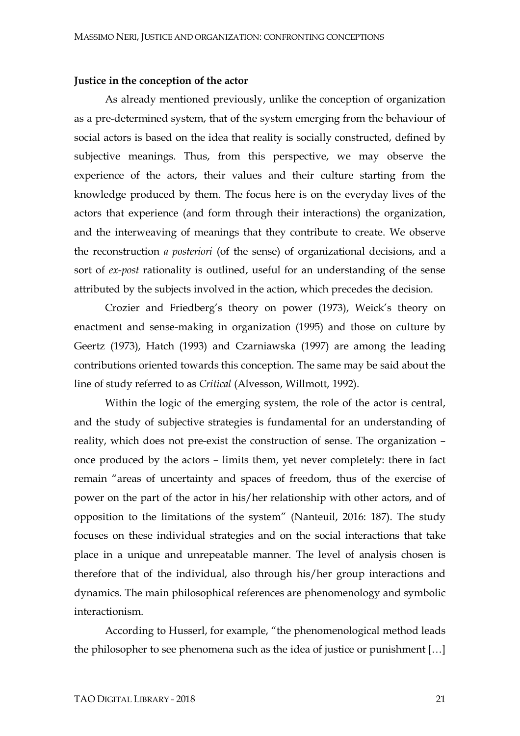#### **Justice in the conception of the actor**

As already mentioned previously, unlike the conception of organization as a pre-determined system, that of the system emerging from the behaviour of social actors is based on the idea that reality is socially constructed, defined by subjective meanings. Thus, from this perspective, we may observe the experience of the actors, their values and their culture starting from the knowledge produced by them. The focus here is on the everyday lives of the actors that experience (and form through their interactions) the organization, and the interweaving of meanings that they contribute to create. We observe the reconstruction *a posteriori* (of the sense) of organizational decisions, and a sort of *ex-post* rationality is outlined, useful for an understanding of the sense attributed by the subjects involved in the action, which precedes the decision.

Crozier and Friedberg's theory on power (1973), Weick's theory on enactment and sense-making in organization (1995) and those on culture by Geertz (1973), Hatch (1993) and Czarniawska (1997) are among the leading contributions oriented towards this conception. The same may be said about the line of study referred to as *Critical* (Alvesson, Willmott, 1992).

Within the logic of the emerging system, the role of the actor is central, and the study of subjective strategies is fundamental for an understanding of reality, which does not pre-exist the construction of sense. The organization – once produced by the actors – limits them, yet never completely: there in fact remain "areas of uncertainty and spaces of freedom, thus of the exercise of power on the part of the actor in his/her relationship with other actors, and of opposition to the limitations of the system" (Nanteuil, 2016: 187). The study focuses on these individual strategies and on the social interactions that take place in a unique and unrepeatable manner. The level of analysis chosen is therefore that of the individual, also through his/her group interactions and dynamics. The main philosophical references are phenomenology and symbolic interactionism.

According to Husserl, for example, "the phenomenological method leads the philosopher to see phenomena such as the idea of justice or punishment […]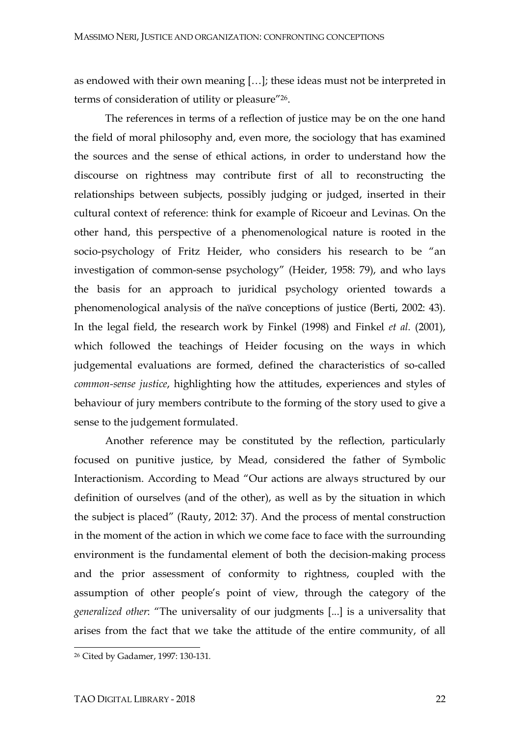as endowed with their own meaning […]; these ideas must not be interpreted in terms of consideration of utility or pleasure"26.

The references in terms of a reflection of justice may be on the one hand the field of moral philosophy and, even more, the sociology that has examined the sources and the sense of ethical actions, in order to understand how the discourse on rightness may contribute first of all to reconstructing the relationships between subjects, possibly judging or judged, inserted in their cultural context of reference: think for example of Ricoeur and Levinas. On the other hand, this perspective of a phenomenological nature is rooted in the socio-psychology of Fritz Heider, who considers his research to be "an investigation of common-sense psychology" (Heider, 1958: 79), and who lays the basis for an approach to juridical psychology oriented towards a phenomenological analysis of the naïve conceptions of justice (Berti, 2002: 43). In the legal field, the research work by Finkel (1998) and Finkel *et al.* (2001), which followed the teachings of Heider focusing on the ways in which judgemental evaluations are formed, defined the characteristics of so-called *common-sense justice*, highlighting how the attitudes, experiences and styles of behaviour of jury members contribute to the forming of the story used to give a sense to the judgement formulated.

Another reference may be constituted by the reflection, particularly focused on punitive justice, by Mead, considered the father of Symbolic Interactionism. According to Mead "Our actions are always structured by our definition of ourselves (and of the other), as well as by the situation in which the subject is placed" (Rauty, 2012: 37). And the process of mental construction in the moment of the action in which we come face to face with the surrounding environment is the fundamental element of both the decision-making process and the prior assessment of conformity to rightness, coupled with the assumption of other people's point of view, through the category of the *generalized other*: "The universality of our judgments [...] is a universality that arises from the fact that we take the attitude of the entire community, of all

<sup>26</sup> Cited by Gadamer, 1997: 130-131*.*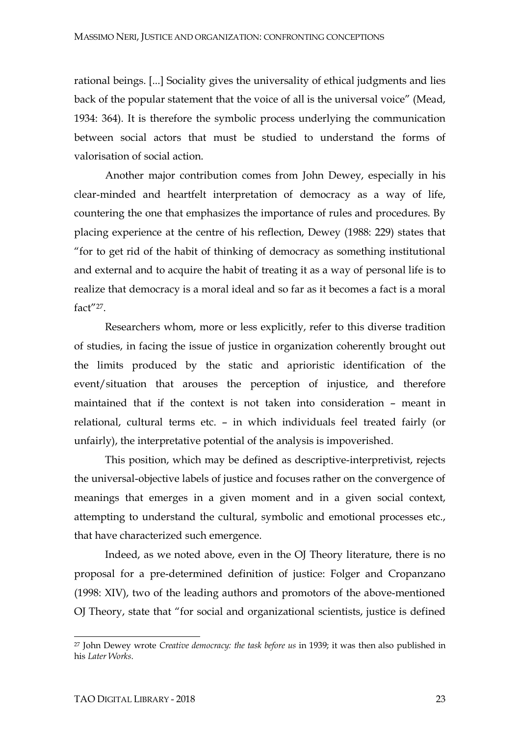rational beings. [...] Sociality gives the universality of ethical judgments and lies back of the popular statement that the voice of all is the universal voice" (Mead, 1934: 364). It is therefore the symbolic process underlying the communication between social actors that must be studied to understand the forms of valorisation of social action.

Another major contribution comes from John Dewey, especially in his clear-minded and heartfelt interpretation of democracy as a way of life, countering the one that emphasizes the importance of rules and procedures. By placing experience at the centre of his reflection, Dewey (1988: 229) states that "for to get rid of the habit of thinking of democracy as something institutional and external and to acquire the habit of treating it as a way of personal life is to realize that democracy is a moral ideal and so far as it becomes a fact is a moral fact"27.

Researchers whom, more or less explicitly, refer to this diverse tradition of studies, in facing the issue of justice in organization coherently brought out the limits produced by the static and aprioristic identification of the event/situation that arouses the perception of injustice, and therefore maintained that if the context is not taken into consideration – meant in relational, cultural terms etc. – in which individuals feel treated fairly (or unfairly), the interpretative potential of the analysis is impoverished.

This position, which may be defined as descriptive-interpretivist, rejects the universal-objective labels of justice and focuses rather on the convergence of meanings that emerges in a given moment and in a given social context, attempting to understand the cultural, symbolic and emotional processes etc., that have characterized such emergence.

Indeed, as we noted above, even in the OJ Theory literature, there is no proposal for a pre-determined definition of justice: Folger and Cropanzano (1998: XIV), two of the leading authors and promotors of the above-mentioned OJ Theory, state that "for social and organizational scientists, justice is defined

<sup>27</sup> John Dewey wrote *Creative democracy: the task before us* in 1939; it was then also published in his *Later Works*.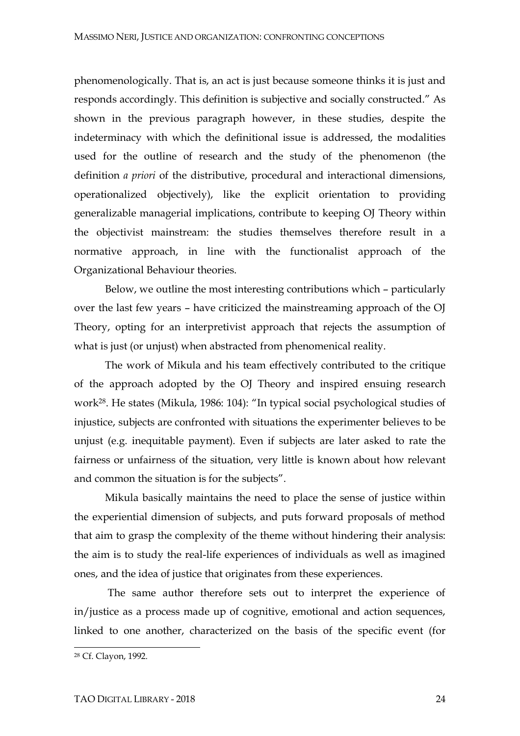phenomenologically. That is, an act is just because someone thinks it is just and responds accordingly. This definition is subjective and socially constructed." As shown in the previous paragraph however, in these studies, despite the indeterminacy with which the definitional issue is addressed, the modalities used for the outline of research and the study of the phenomenon (the definition *a priori* of the distributive, procedural and interactional dimensions, operationalized objectively), like the explicit orientation to providing generalizable managerial implications, contribute to keeping OJ Theory within the objectivist mainstream: the studies themselves therefore result in a normative approach, in line with the functionalist approach of the Organizational Behaviour theories.

Below, we outline the most interesting contributions which – particularly over the last few years – have criticized the mainstreaming approach of the OJ Theory, opting for an interpretivist approach that rejects the assumption of what is just (or unjust) when abstracted from phenomenical reality.

The work of Mikula and his team effectively contributed to the critique of the approach adopted by the OJ Theory and inspired ensuing research work28. He states (Mikula, 1986: 104): "In typical social psychological studies of injustice, subjects are confronted with situations the experimenter believes to be unjust (e.g. inequitable payment). Even if subjects are later asked to rate the fairness or unfairness of the situation, very little is known about how relevant and common the situation is for the subjects".

Mikula basically maintains the need to place the sense of justice within the experiential dimension of subjects, and puts forward proposals of method that aim to grasp the complexity of the theme without hindering their analysis: the aim is to study the real-life experiences of individuals as well as imagined ones, and the idea of justice that originates from these experiences.

The same author therefore sets out to interpret the experience of in/justice as a process made up of cognitive, emotional and action sequences, linked to one another, characterized on the basis of the specific event (for

<sup>28</sup> Cf. Clayon, 1992.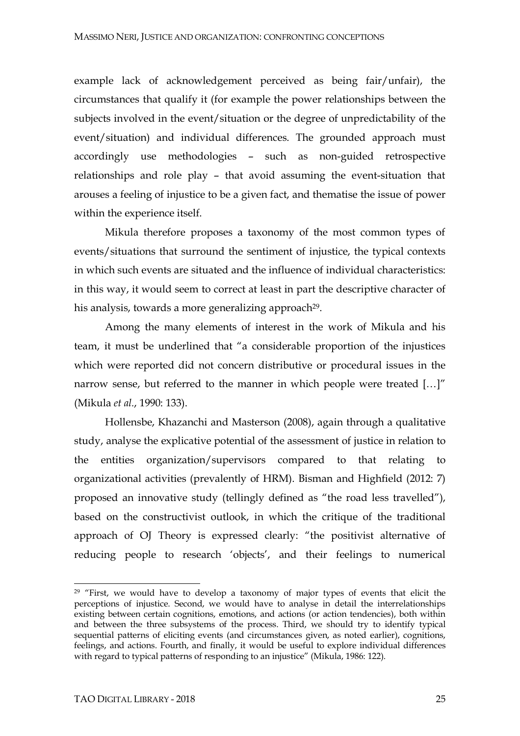example lack of acknowledgement perceived as being fair/unfair), the circumstances that qualify it (for example the power relationships between the subjects involved in the event/situation or the degree of unpredictability of the event/situation) and individual differences. The grounded approach must accordingly use methodologies – such as non-guided retrospective relationships and role play – that avoid assuming the event-situation that arouses a feeling of injustice to be a given fact, and thematise the issue of power within the experience itself.

Mikula therefore proposes a taxonomy of the most common types of events/situations that surround the sentiment of injustice, the typical contexts in which such events are situated and the influence of individual characteristics: in this way, it would seem to correct at least in part the descriptive character of his analysis, towards a more generalizing approach<sup>29</sup>.

Among the many elements of interest in the work of Mikula and his team, it must be underlined that "a considerable proportion of the injustices which were reported did not concern distributive or procedural issues in the narrow sense, but referred to the manner in which people were treated […]" (Mikula *et al.*, 1990: 133).

Hollensbe, Khazanchi and Masterson (2008), again through a qualitative study, analyse the explicative potential of the assessment of justice in relation to the entities organization/supervisors compared to that relating to organizational activities (prevalently of HRM). Bisman and Highfield (2012: 7) proposed an innovative study (tellingly defined as "the road less travelled"), based on the constructivist outlook, in which the critique of the traditional approach of OJ Theory is expressed clearly: "the positivist alternative of reducing people to research 'objects', and their feelings to numerical

<sup>&</sup>lt;sup>29</sup> "First, we would have to develop a taxonomy of major types of events that elicit the perceptions of injustice. Second, we would have to analyse in detail the interrelationships existing between certain cognitions, emotions, and actions (or action tendencies), both within and between the three subsystems of the process. Third, we should try to identify typical sequential patterns of eliciting events (and circumstances given, as noted earlier), cognitions, feelings, and actions. Fourth, and finally, it would be useful to explore individual differences with regard to typical patterns of responding to an injustice" (Mikula, 1986: 122).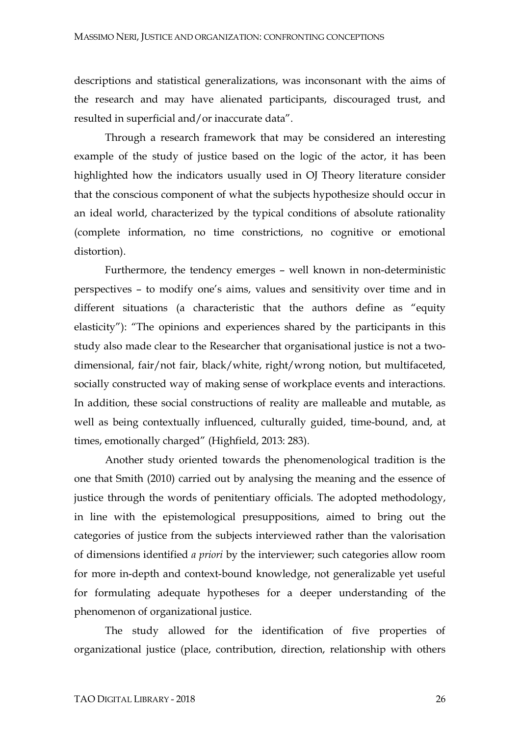descriptions and statistical generalizations, was inconsonant with the aims of the research and may have alienated participants, discouraged trust, and resulted in superficial and/or inaccurate data".

Through a research framework that may be considered an interesting example of the study of justice based on the logic of the actor, it has been highlighted how the indicators usually used in OJ Theory literature consider that the conscious component of what the subjects hypothesize should occur in an ideal world, characterized by the typical conditions of absolute rationality (complete information, no time constrictions, no cognitive or emotional distortion).

Furthermore, the tendency emerges – well known in non-deterministic perspectives – to modify one's aims, values and sensitivity over time and in different situations (a characteristic that the authors define as "equity elasticity"): "The opinions and experiences shared by the participants in this study also made clear to the Researcher that organisational justice is not a twodimensional, fair/not fair, black/white, right/wrong notion, but multifaceted, socially constructed way of making sense of workplace events and interactions. In addition, these social constructions of reality are malleable and mutable, as well as being contextually influenced, culturally guided, time-bound, and, at times, emotionally charged" (Highfield, 2013: 283).

Another study oriented towards the phenomenological tradition is the one that Smith (2010) carried out by analysing the meaning and the essence of justice through the words of penitentiary officials. The adopted methodology, in line with the epistemological presuppositions, aimed to bring out the categories of justice from the subjects interviewed rather than the valorisation of dimensions identified *a priori* by the interviewer; such categories allow room for more in-depth and context-bound knowledge, not generalizable yet useful for formulating adequate hypotheses for a deeper understanding of the phenomenon of organizational justice.

The study allowed for the identification of five properties of organizational justice (place, contribution, direction, relationship with others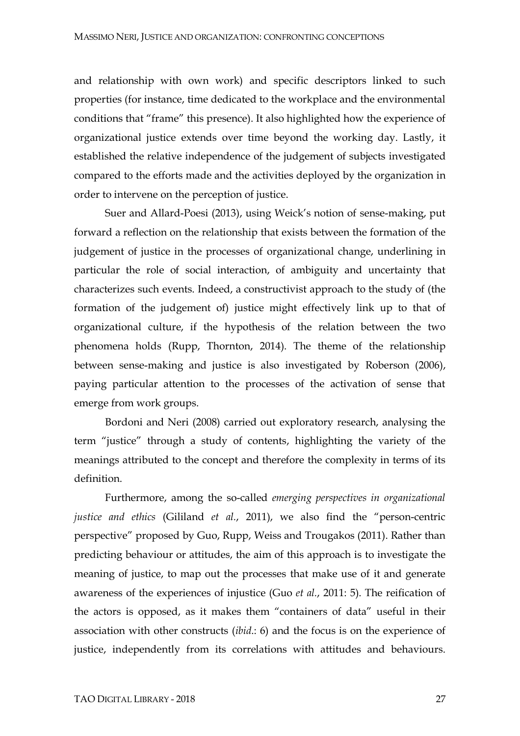and relationship with own work) and specific descriptors linked to such properties (for instance, time dedicated to the workplace and the environmental conditions that "frame" this presence). It also highlighted how the experience of organizational justice extends over time beyond the working day. Lastly, it established the relative independence of the judgement of subjects investigated compared to the efforts made and the activities deployed by the organization in order to intervene on the perception of justice.

Suer and Allard-Poesi (2013), using Weick's notion of sense-making, put forward a reflection on the relationship that exists between the formation of the judgement of justice in the processes of organizational change, underlining in particular the role of social interaction, of ambiguity and uncertainty that characterizes such events. Indeed, a constructivist approach to the study of (the formation of the judgement of) justice might effectively link up to that of organizational culture, if the hypothesis of the relation between the two phenomena holds (Rupp, Thornton, 2014). The theme of the relationship between sense-making and justice is also investigated by Roberson (2006), paying particular attention to the processes of the activation of sense that emerge from work groups.

Bordoni and Neri (2008) carried out exploratory research, analysing the term "justice" through a study of contents, highlighting the variety of the meanings attributed to the concept and therefore the complexity in terms of its definition.

Furthermore, among the so-called *emerging perspectives in organizational justice and ethics* (Gililand *et al.*, 2011), we also find the "person-centric perspective" proposed by Guo, Rupp, Weiss and Trougakos (2011). Rather than predicting behaviour or attitudes, the aim of this approach is to investigate the meaning of justice, to map out the processes that make use of it and generate awareness of the experiences of injustice (Guo *et al.*, 2011: 5). The reification of the actors is opposed, as it makes them "containers of data" useful in their association with other constructs (*ibid*.: 6) and the focus is on the experience of justice, independently from its correlations with attitudes and behaviours.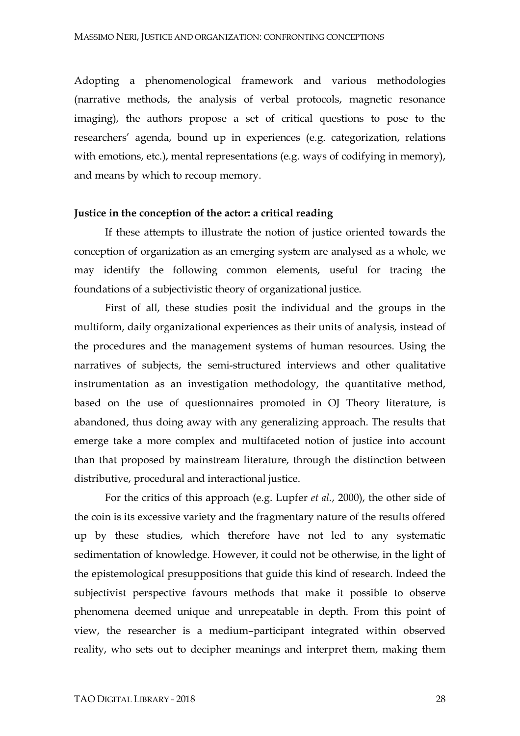Adopting a phenomenological framework and various methodologies (narrative methods, the analysis of verbal protocols, magnetic resonance imaging), the authors propose a set of critical questions to pose to the researchers' agenda, bound up in experiences (e.g. categorization, relations with emotions, etc.), mental representations (e.g. ways of codifying in memory), and means by which to recoup memory.

#### **Justice in the conception of the actor: a critical reading**

If these attempts to illustrate the notion of justice oriented towards the conception of organization as an emerging system are analysed as a whole, we may identify the following common elements, useful for tracing the foundations of a subjectivistic theory of organizational justice.

First of all, these studies posit the individual and the groups in the multiform, daily organizational experiences as their units of analysis, instead of the procedures and the management systems of human resources. Using the narratives of subjects, the semi-structured interviews and other qualitative instrumentation as an investigation methodology, the quantitative method, based on the use of questionnaires promoted in OJ Theory literature, is abandoned, thus doing away with any generalizing approach. The results that emerge take a more complex and multifaceted notion of justice into account than that proposed by mainstream literature, through the distinction between distributive, procedural and interactional justice.

For the critics of this approach (e.g. Lupfer *et al.*, 2000), the other side of the coin is its excessive variety and the fragmentary nature of the results offered up by these studies, which therefore have not led to any systematic sedimentation of knowledge. However, it could not be otherwise, in the light of the epistemological presuppositions that guide this kind of research. Indeed the subjectivist perspective favours methods that make it possible to observe phenomena deemed unique and unrepeatable in depth. From this point of view, the researcher is a medium–participant integrated within observed reality, who sets out to decipher meanings and interpret them, making them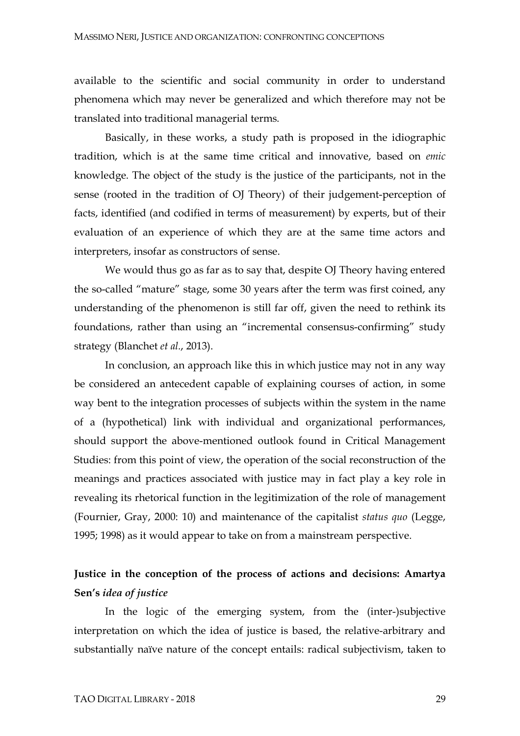available to the scientific and social community in order to understand phenomena which may never be generalized and which therefore may not be translated into traditional managerial terms.

Basically, in these works, a study path is proposed in the idiographic tradition, which is at the same time critical and innovative, based on *emic*  knowledge. The object of the study is the justice of the participants, not in the sense (rooted in the tradition of OJ Theory) of their judgement-perception of facts, identified (and codified in terms of measurement) by experts, but of their evaluation of an experience of which they are at the same time actors and interpreters, insofar as constructors of sense.

We would thus go as far as to say that, despite OJ Theory having entered the so-called "mature" stage, some 30 years after the term was first coined, any understanding of the phenomenon is still far off, given the need to rethink its foundations, rather than using an "incremental consensus-confirming" study strategy (Blanchet *et al.*, 2013).

In conclusion, an approach like this in which justice may not in any way be considered an antecedent capable of explaining courses of action, in some way bent to the integration processes of subjects within the system in the name of a (hypothetical) link with individual and organizational performances, should support the above-mentioned outlook found in Critical Management Studies: from this point of view, the operation of the social reconstruction of the meanings and practices associated with justice may in fact play a key role in revealing its rhetorical function in the legitimization of the role of management (Fournier, Gray, 2000: 10) and maintenance of the capitalist *status quo* (Legge, 1995; 1998) as it would appear to take on from a mainstream perspective.

## **Justice in the conception of the process of actions and decisions: Amartya Sen's** *idea of justice*

In the logic of the emerging system, from the (inter-)subjective interpretation on which the idea of justice is based, the relative-arbitrary and substantially naïve nature of the concept entails: radical subjectivism, taken to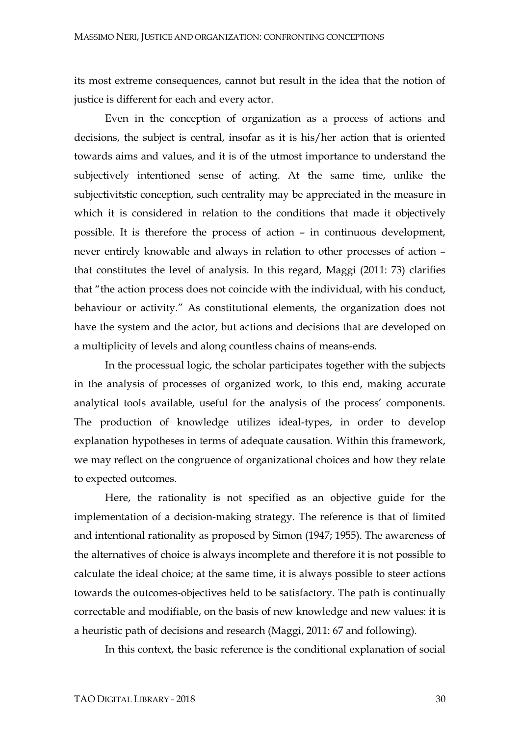its most extreme consequences, cannot but result in the idea that the notion of justice is different for each and every actor.

Even in the conception of organization as a process of actions and decisions, the subject is central, insofar as it is his/her action that is oriented towards aims and values, and it is of the utmost importance to understand the subjectively intentioned sense of acting. At the same time, unlike the subjectivitstic conception, such centrality may be appreciated in the measure in which it is considered in relation to the conditions that made it objectively possible. It is therefore the process of action – in continuous development, never entirely knowable and always in relation to other processes of action – that constitutes the level of analysis. In this regard, Maggi (2011: 73) clarifies that "the action process does not coincide with the individual, with his conduct, behaviour or activity." As constitutional elements, the organization does not have the system and the actor, but actions and decisions that are developed on a multiplicity of levels and along countless chains of means-ends.

In the processual logic, the scholar participates together with the subjects in the analysis of processes of organized work, to this end, making accurate analytical tools available, useful for the analysis of the process' components. The production of knowledge utilizes ideal-types, in order to develop explanation hypotheses in terms of adequate causation. Within this framework, we may reflect on the congruence of organizational choices and how they relate to expected outcomes.

Here, the rationality is not specified as an objective guide for the implementation of a decision-making strategy. The reference is that of limited and intentional rationality as proposed by Simon (1947; 1955). The awareness of the alternatives of choice is always incomplete and therefore it is not possible to calculate the ideal choice; at the same time, it is always possible to steer actions towards the outcomes-objectives held to be satisfactory. The path is continually correctable and modifiable, on the basis of new knowledge and new values: it is a heuristic path of decisions and research (Maggi, 2011: 67 and following).

In this context, the basic reference is the conditional explanation of social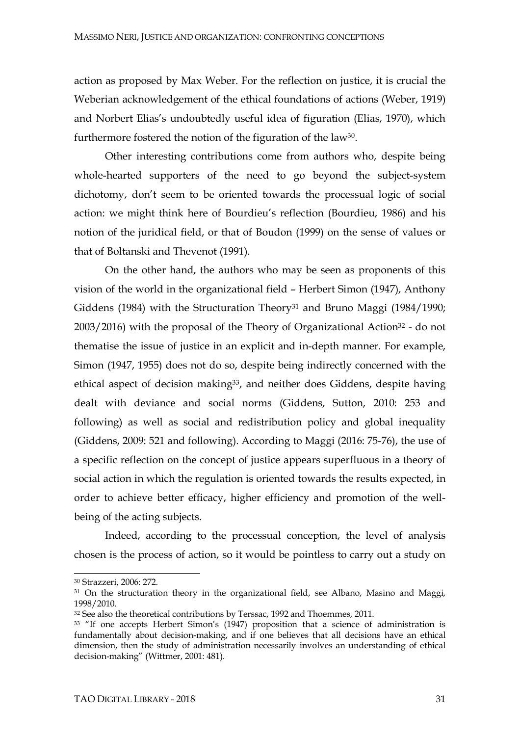action as proposed by Max Weber. For the reflection on justice, it is crucial the Weberian acknowledgement of the ethical foundations of actions (Weber, 1919) and Norbert Elias's undoubtedly useful idea of figuration (Elias, 1970), which furthermore fostered the notion of the figuration of the law<sup>30</sup>.

Other interesting contributions come from authors who, despite being whole-hearted supporters of the need to go beyond the subject-system dichotomy, don't seem to be oriented towards the processual logic of social action: we might think here of Bourdieu's reflection (Bourdieu, 1986) and his notion of the juridical field, or that of Boudon (1999) on the sense of values or that of Boltanski and Thevenot (1991).

On the other hand, the authors who may be seen as proponents of this vision of the world in the organizational field – Herbert Simon (1947), Anthony Giddens (1984) with the Structuration Theory<sup>31</sup> and Bruno Maggi (1984/1990;  $2003/2016$ ) with the proposal of the Theory of Organizational Action<sup>32</sup> - do not thematise the issue of justice in an explicit and in-depth manner. For example, Simon (1947, 1955) does not do so, despite being indirectly concerned with the ethical aspect of decision making<sup>33</sup>, and neither does Giddens, despite having dealt with deviance and social norms (Giddens, Sutton, 2010: 253 and following) as well as social and redistribution policy and global inequality (Giddens, 2009: 521 and following). According to Maggi (2016: 75-76), the use of a specific reflection on the concept of justice appears superfluous in a theory of social action in which the regulation is oriented towards the results expected, in order to achieve better efficacy, higher efficiency and promotion of the wellbeing of the acting subjects.

Indeed, according to the processual conception, the level of analysis chosen is the process of action, so it would be pointless to carry out a study on

<sup>30</sup> Strazzeri, 2006: 272.

<sup>&</sup>lt;sup>31</sup> On the structuration theory in the organizational field, see Albano, Masino and Maggi, 1998/2010.

<sup>&</sup>lt;sup>32</sup> See also the theoretical contributions by Terssac, 1992 and Thoemmes, 2011.

<sup>&</sup>lt;sup>33</sup> "If one accepts Herbert Simon's (1947) proposition that a science of administration is fundamentally about decision-making, and if one believes that all decisions have an ethical dimension, then the study of administration necessarily involves an understanding of ethical decision-making" (Wittmer, 2001: 481).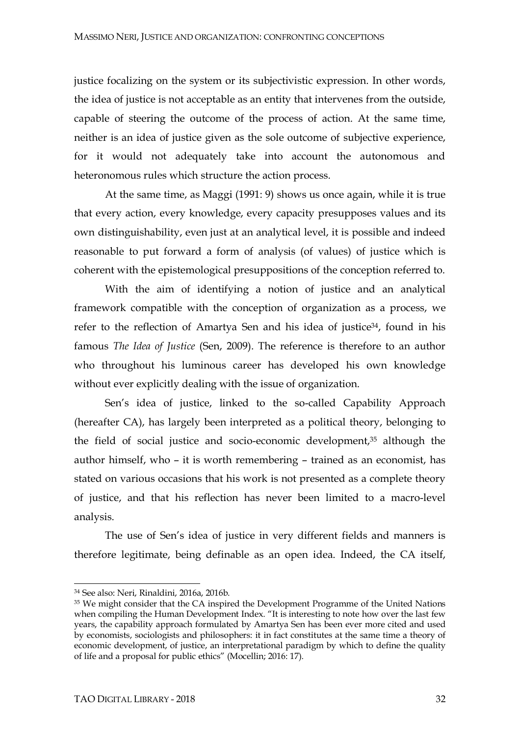justice focalizing on the system or its subjectivistic expression. In other words, the idea of justice is not acceptable as an entity that intervenes from the outside, capable of steering the outcome of the process of action. At the same time, neither is an idea of justice given as the sole outcome of subjective experience, for it would not adequately take into account the autonomous and heteronomous rules which structure the action process.

At the same time, as Maggi (1991: 9) shows us once again, while it is true that every action, every knowledge, every capacity presupposes values and its own distinguishability, even just at an analytical level, it is possible and indeed reasonable to put forward a form of analysis (of values) of justice which is coherent with the epistemological presuppositions of the conception referred to.

With the aim of identifying a notion of justice and an analytical framework compatible with the conception of organization as a process, we refer to the reflection of Amartya Sen and his idea of justice<sup>34</sup>, found in his famous *The Idea of Justice* (Sen, 2009). The reference is therefore to an author who throughout his luminous career has developed his own knowledge without ever explicitly dealing with the issue of organization.

Sen's idea of justice, linked to the so-called Capability Approach (hereafter CA), has largely been interpreted as a political theory, belonging to the field of social justice and socio-economic development, <sup>35</sup> although the author himself, who – it is worth remembering – trained as an economist, has stated on various occasions that his work is not presented as a complete theory of justice, and that his reflection has never been limited to a macro-level analysis.

The use of Sen's idea of justice in very different fields and manners is therefore legitimate, being definable as an open idea. Indeed, the CA itself,

<sup>34</sup> See also: Neri, Rinaldini, 2016a, 2016b.

<sup>&</sup>lt;sup>35</sup> We might consider that the CA inspired the Development Programme of the United Nations when compiling the Human Development Index. "It is interesting to note how over the last few years, the capability approach formulated by Amartya Sen has been ever more cited and used by economists, sociologists and philosophers: it in fact constitutes at the same time a theory of economic development, of justice, an interpretational paradigm by which to define the quality of life and a proposal for public ethics" (Mocellin; 2016: 17).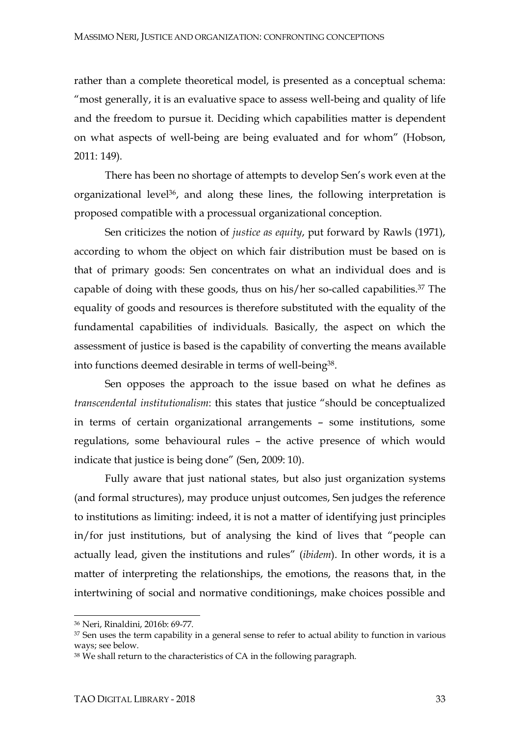rather than a complete theoretical model, is presented as a conceptual schema: "most generally, it is an evaluative space to assess well-being and quality of life and the freedom to pursue it. Deciding which capabilities matter is dependent on what aspects of well-being are being evaluated and for whom" (Hobson, 2011: 149).

There has been no shortage of attempts to develop Sen's work even at the organizational level<sup>36</sup>, and along these lines, the following interpretation is proposed compatible with a processual organizational conception.

Sen criticizes the notion of *justice as equity*, put forward by Rawls (1971), according to whom the object on which fair distribution must be based on is that of primary goods: Sen concentrates on what an individual does and is capable of doing with these goods, thus on his/her so-called capabilities. <sup>37</sup> The equality of goods and resources is therefore substituted with the equality of the fundamental capabilities of individuals. Basically, the aspect on which the assessment of justice is based is the capability of converting the means available into functions deemed desirable in terms of well-being<sup>38</sup>.

Sen opposes the approach to the issue based on what he defines as *transcendental institutionalism*: this states that justice "should be conceptualized in terms of certain organizational arrangements – some institutions, some regulations, some behavioural rules – the active presence of which would indicate that justice is being done" (Sen, 2009: 10).

Fully aware that just national states, but also just organization systems (and formal structures), may produce unjust outcomes, Sen judges the reference to institutions as limiting: indeed, it is not a matter of identifying just principles in/for just institutions, but of analysing the kind of lives that "people can actually lead, given the institutions and rules" (*ibidem*). In other words, it is a matter of interpreting the relationships, the emotions, the reasons that, in the intertwining of social and normative conditionings, make choices possible and

<sup>36</sup> Neri, Rinaldini, 2016b: 69-77.

<sup>&</sup>lt;sup>37</sup> Sen uses the term capability in a general sense to refer to actual ability to function in various ways; see below.

<sup>&</sup>lt;sup>38</sup> We shall return to the characteristics of CA in the following paragraph.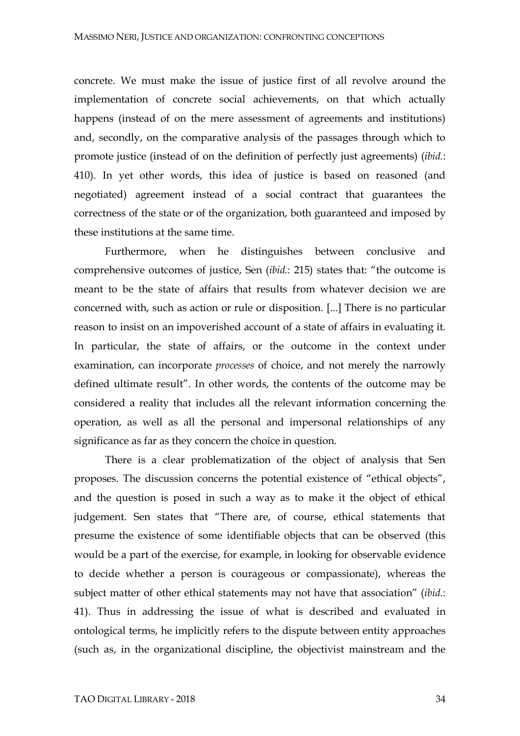concrete. We must make the issue of justice first of all revolve around the implementation of concrete social achievements, on that which actually happens (instead of on the mere assessment of agreements and institutions) and, secondly, on the comparative analysis of the passages through which to promote justice (instead of on the definition of perfectly just agreements) (*ibid.*: 410). In yet other words, this idea of justice is based on reasoned (and negotiated) agreement instead of a social contract that guarantees the correctness of the state or of the organization, both guaranteed and imposed by these institutions at the same time.

Furthermore, when he distinguishes between conclusive and comprehensive outcomes of justice, Sen (*ibid.*: 215) states that: "the outcome is meant to be the state of affairs that results from whatever decision we are concerned with, such as action or rule or disposition. [...] There is no particular reason to insist on an impoverished account of a state of affairs in evaluating it. In particular, the state of affairs, or the outcome in the context under examination, can incorporate *processes* of choice, and not merely the narrowly defined ultimate result". In other words, the contents of the outcome may be considered a reality that includes all the relevant information concerning the operation, as well as all the personal and impersonal relationships of any significance as far as they concern the choice in question.

There is a clear problematization of the object of analysis that Sen proposes. The discussion concerns the potential existence of "ethical objects", and the question is posed in such a way as to make it the object of ethical judgement. Sen states that "There are, of course, ethical statements that presume the existence of some identifiable objects that can be observed (this would be a part of the exercise, for example, in looking for observable evidence to decide whether a person is courageous or compassionate), whereas the subject matter of other ethical statements may not have that association" (*ibid.*: 41). Thus in addressing the issue of what is described and evaluated in ontological terms, he implicitly refers to the dispute between entity approaches (such as, in the organizational discipline, the objectivist mainstream and the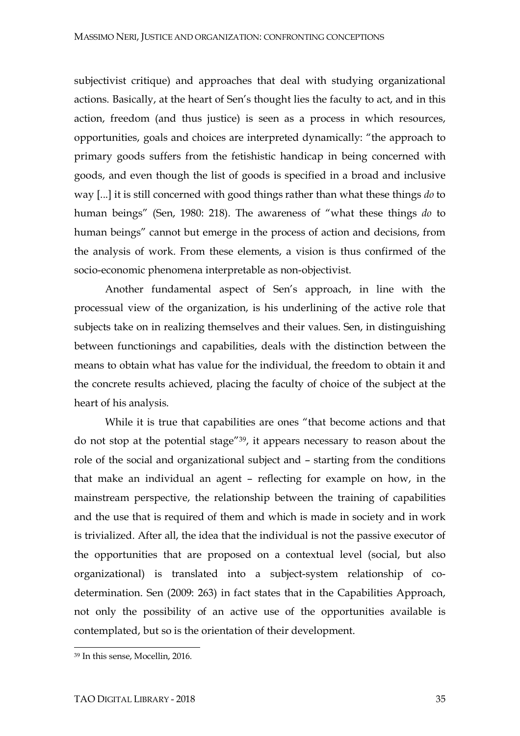subjectivist critique) and approaches that deal with studying organizational actions. Basically, at the heart of Sen's thought lies the faculty to act, and in this action, freedom (and thus justice) is seen as a process in which resources, opportunities, goals and choices are interpreted dynamically: "the approach to primary goods suffers from the fetishistic handicap in being concerned with goods, and even though the list of goods is specified in a broad and inclusive way [...] it is still concerned with good things rather than what these things *do* to human beings" (Sen, 1980: 218). The awareness of "what these things *do* to human beings" cannot but emerge in the process of action and decisions, from the analysis of work. From these elements, a vision is thus confirmed of the socio-economic phenomena interpretable as non-objectivist.

Another fundamental aspect of Sen's approach, in line with the processual view of the organization, is his underlining of the active role that subjects take on in realizing themselves and their values. Sen, in distinguishing between functionings and capabilities, deals with the distinction between the means to obtain what has value for the individual, the freedom to obtain it and the concrete results achieved, placing the faculty of choice of the subject at the heart of his analysis.

While it is true that capabilities are ones "that become actions and that do not stop at the potential stage"39, it appears necessary to reason about the role of the social and organizational subject and – starting from the conditions that make an individual an agent – reflecting for example on how, in the mainstream perspective, the relationship between the training of capabilities and the use that is required of them and which is made in society and in work is trivialized. After all, the idea that the individual is not the passive executor of the opportunities that are proposed on a contextual level (social, but also organizational) is translated into a subject-system relationship of codetermination. Sen (2009: 263) in fact states that in the Capabilities Approach, not only the possibility of an active use of the opportunities available is contemplated, but so is the orientation of their development.

<sup>39</sup> In this sense, Mocellin, 2016.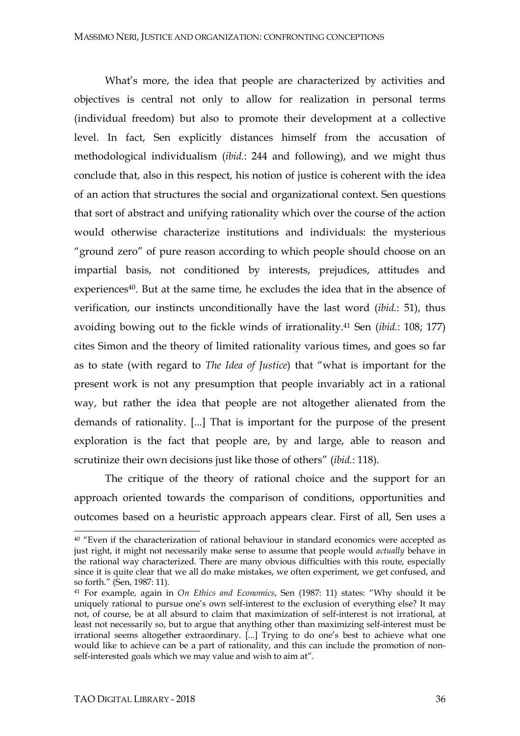What's more, the idea that people are characterized by activities and objectives is central not only to allow for realization in personal terms (individual freedom) but also to promote their development at a collective level. In fact, Sen explicitly distances himself from the accusation of methodological individualism (*ibid.*: 244 and following), and we might thus conclude that, also in this respect, his notion of justice is coherent with the idea of an action that structures the social and organizational context. Sen questions that sort of abstract and unifying rationality which over the course of the action would otherwise characterize institutions and individuals: the mysterious "ground zero" of pure reason according to which people should choose on an impartial basis, not conditioned by interests, prejudices, attitudes and experiences<sup>40</sup>. But at the same time, he excludes the idea that in the absence of verification, our instincts unconditionally have the last word (*ibid.*: 51), thus avoiding bowing out to the fickle winds of irrationality.41 Sen (*ibid.*: 108; 177) cites Simon and the theory of limited rationality various times, and goes so far as to state (with regard to *The Idea of Justice*) that "what is important for the present work is not any presumption that people invariably act in a rational way, but rather the idea that people are not altogether alienated from the demands of rationality. [...] That is important for the purpose of the present exploration is the fact that people are, by and large, able to reason and scrutinize their own decisions just like those of others" (*ibid.*: 118).

The critique of the theory of rational choice and the support for an approach oriented towards the comparison of conditions, opportunities and outcomes based on a heuristic approach appears clear. First of all, Sen uses a

<sup>&</sup>lt;sup>40</sup> "Even if the characterization of rational behaviour in standard economics were accepted as just right, it might not necessarily make sense to assume that people would *actually* behave in the rational way characterized. There are many obvious difficulties with this route, especially since it is quite clear that we all do make mistakes, we often experiment, we get confused, and so forth." (Sen, 1987: 11).

<sup>41</sup> For example, again in *On Ethics and Economics*, Sen (1987: 11) states: "Why should it be uniquely rational to pursue one's own self-interest to the exclusion of everything else? It may not, of course, be at all absurd to claim that maximization of self-interest is not irrational, at least not necessarily so, but to argue that anything other than maximizing self-interest must be irrational seems altogether extraordinary. [...] Trying to do one's best to achieve what one would like to achieve can be a part of rationality, and this can include the promotion of nonself-interested goals which we may value and wish to aim at".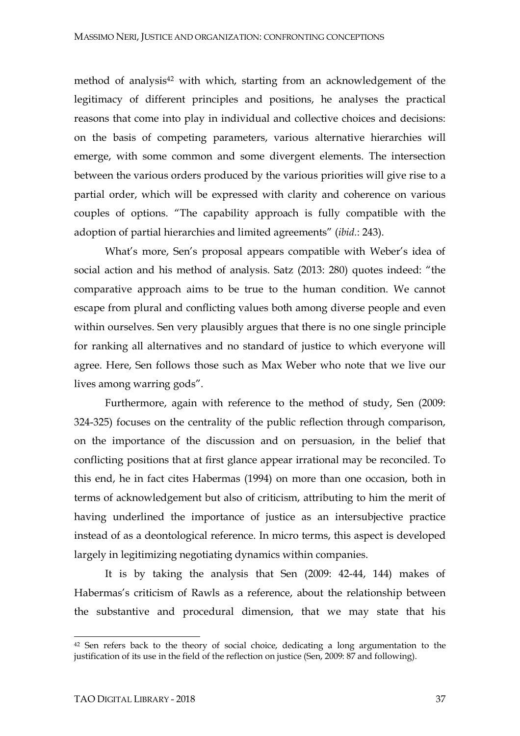method of analysis<sup>42</sup> with which, starting from an acknowledgement of the legitimacy of different principles and positions, he analyses the practical reasons that come into play in individual and collective choices and decisions: on the basis of competing parameters, various alternative hierarchies will emerge, with some common and some divergent elements. The intersection between the various orders produced by the various priorities will give rise to a partial order, which will be expressed with clarity and coherence on various couples of options. "The capability approach is fully compatible with the adoption of partial hierarchies and limited agreements" (*ibid.*: 243).

What's more, Sen's proposal appears compatible with Weber's idea of social action and his method of analysis. Satz (2013: 280) quotes indeed: "the comparative approach aims to be true to the human condition. We cannot escape from plural and conflicting values both among diverse people and even within ourselves. Sen very plausibly argues that there is no one single principle for ranking all alternatives and no standard of justice to which everyone will agree. Here, Sen follows those such as Max Weber who note that we live our lives among warring gods".

Furthermore, again with reference to the method of study, Sen (2009: 324-325) focuses on the centrality of the public reflection through comparison, on the importance of the discussion and on persuasion, in the belief that conflicting positions that at first glance appear irrational may be reconciled. To this end, he in fact cites Habermas (1994) on more than one occasion, both in terms of acknowledgement but also of criticism, attributing to him the merit of having underlined the importance of justice as an intersubjective practice instead of as a deontological reference. In micro terms, this aspect is developed largely in legitimizing negotiating dynamics within companies.

It is by taking the analysis that Sen (2009: 42-44, 144) makes of Habermas's criticism of Rawls as a reference, about the relationship between the substantive and procedural dimension, that we may state that his

<sup>42</sup> Sen refers back to the theory of social choice, dedicating a long argumentation to the justification of its use in the field of the reflection on justice (Sen, 2009: 87 and following).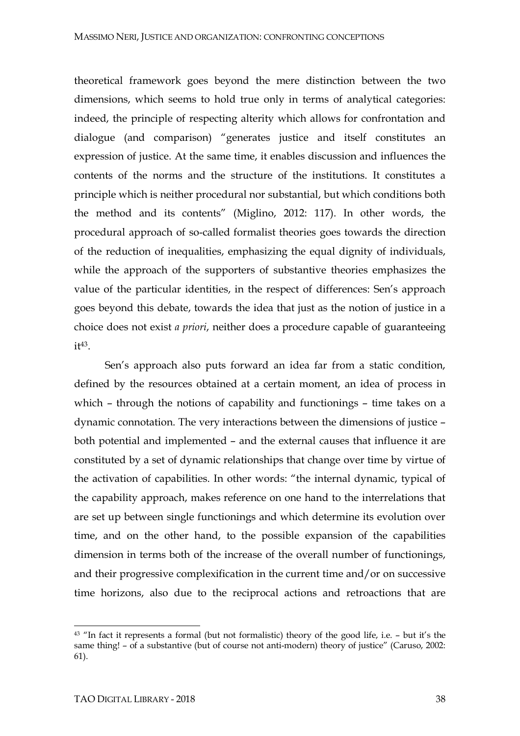theoretical framework goes beyond the mere distinction between the two dimensions, which seems to hold true only in terms of analytical categories: indeed, the principle of respecting alterity which allows for confrontation and dialogue (and comparison) "generates justice and itself constitutes an expression of justice. At the same time, it enables discussion and influences the contents of the norms and the structure of the institutions. It constitutes a principle which is neither procedural nor substantial, but which conditions both the method and its contents" (Miglino, 2012: 117). In other words, the procedural approach of so-called formalist theories goes towards the direction of the reduction of inequalities, emphasizing the equal dignity of individuals, while the approach of the supporters of substantive theories emphasizes the value of the particular identities, in the respect of differences: Sen's approach goes beyond this debate, towards the idea that just as the notion of justice in a choice does not exist *a priori*, neither does a procedure capable of guaranteeing  $i<sup>43</sup>$ .

Sen's approach also puts forward an idea far from a static condition, defined by the resources obtained at a certain moment, an idea of process in which – through the notions of capability and functionings – time takes on a dynamic connotation. The very interactions between the dimensions of justice – both potential and implemented – and the external causes that influence it are constituted by a set of dynamic relationships that change over time by virtue of the activation of capabilities. In other words: "the internal dynamic, typical of the capability approach, makes reference on one hand to the interrelations that are set up between single functionings and which determine its evolution over time, and on the other hand, to the possible expansion of the capabilities dimension in terms both of the increase of the overall number of functionings, and their progressive complexification in the current time and/or on successive time horizons, also due to the reciprocal actions and retroactions that are

<sup>43</sup> "In fact it represents a formal (but not formalistic) theory of the good life, i.e. – but it's the same thing! – of a substantive (but of course not anti-modern) theory of justice" (Caruso, 2002: 61).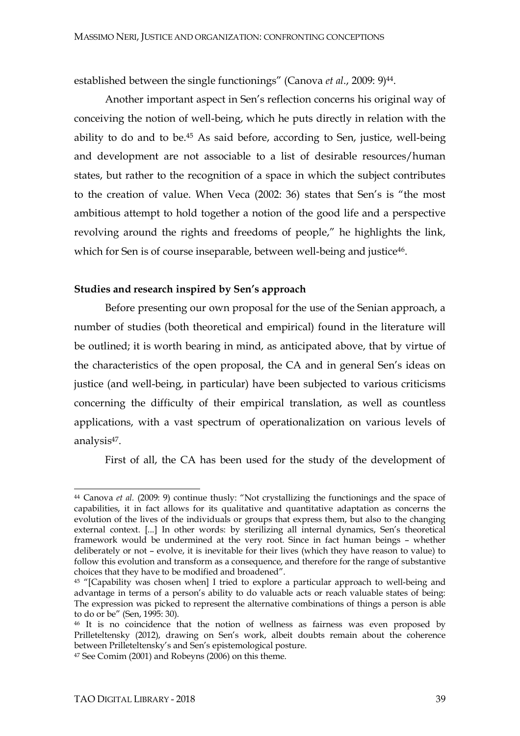established between the single functionings" (Canova *et al*., 2009: 9)44.

Another important aspect in Sen's reflection concerns his original way of conceiving the notion of well-being, which he puts directly in relation with the ability to do and to be.45 As said before, according to Sen, justice, well-being and development are not associable to a list of desirable resources/human states, but rather to the recognition of a space in which the subject contributes to the creation of value. When Veca (2002: 36) states that Sen's is "the most ambitious attempt to hold together a notion of the good life and a perspective revolving around the rights and freedoms of people," he highlights the link, which for Sen is of course inseparable, between well-being and justice<sup>46</sup>.

#### **Studies and research inspired by Sen's approach**

Before presenting our own proposal for the use of the Senian approach, a number of studies (both theoretical and empirical) found in the literature will be outlined; it is worth bearing in mind, as anticipated above, that by virtue of the characteristics of the open proposal, the CA and in general Sen's ideas on justice (and well-being, in particular) have been subjected to various criticisms concerning the difficulty of their empirical translation, as well as countless applications, with a vast spectrum of operationalization on various levels of analysis47.

First of all, the CA has been used for the study of the development of

l <sup>44</sup> Canova *et al.* (2009: 9) continue thusly: "Not crystallizing the functionings and the space of capabilities, it in fact allows for its qualitative and quantitative adaptation as concerns the evolution of the lives of the individuals or groups that express them, but also to the changing external context. [...] In other words: by sterilizing all internal dynamics, Sen's theoretical framework would be undermined at the very root. Since in fact human beings – whether deliberately or not – evolve, it is inevitable for their lives (which they have reason to value) to follow this evolution and transform as a consequence, and therefore for the range of substantive choices that they have to be modified and broadened".

<sup>45</sup> "[Capability was chosen when] I tried to explore a particular approach to well-being and advantage in terms of a person's ability to do valuable acts or reach valuable states of being: The expression was picked to represent the alternative combinations of things a person is able to do or be" (Sen, 1995: 30).

<sup>46</sup> It is no coincidence that the notion of wellness as fairness was even proposed by Prilleteltensky (2012), drawing on Sen's work, albeit doubts remain about the coherence between Prilleteltensky's and Sen's epistemological posture.

<sup>47</sup> See Comim (2001) and Robeyns (2006) on this theme.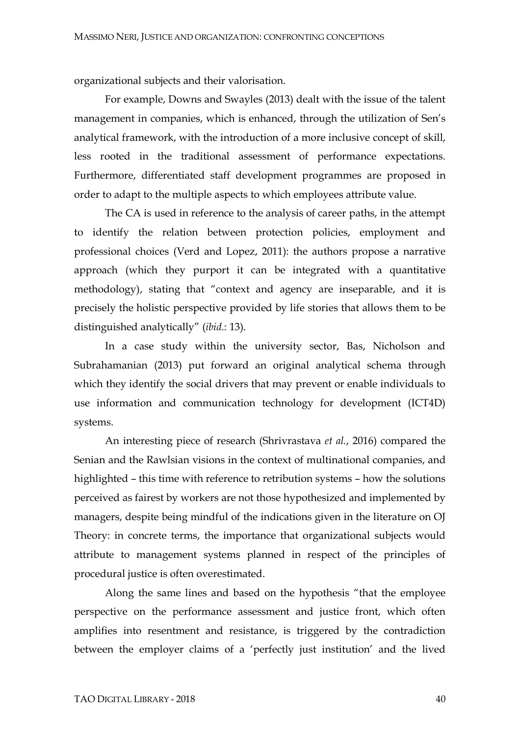organizational subjects and their valorisation.

For example, Downs and Swayles (2013) dealt with the issue of the talent management in companies, which is enhanced, through the utilization of Sen's analytical framework, with the introduction of a more inclusive concept of skill, less rooted in the traditional assessment of performance expectations. Furthermore, differentiated staff development programmes are proposed in order to adapt to the multiple aspects to which employees attribute value.

The CA is used in reference to the analysis of career paths, in the attempt to identify the relation between protection policies, employment and professional choices (Verd and Lopez, 2011): the authors propose a narrative approach (which they purport it can be integrated with a quantitative methodology), stating that "context and agency are inseparable, and it is precisely the holistic perspective provided by life stories that allows them to be distinguished analytically" (*ibid.*: 13).

In a case study within the university sector, Bas, Nicholson and Subrahamanian (2013) put forward an original analytical schema through which they identify the social drivers that may prevent or enable individuals to use information and communication technology for development (ICT4D) systems.

An interesting piece of research (Shrivrastava *et al.*, 2016) compared the Senian and the Rawlsian visions in the context of multinational companies, and highlighted – this time with reference to retribution systems – how the solutions perceived as fairest by workers are not those hypothesized and implemented by managers, despite being mindful of the indications given in the literature on OJ Theory: in concrete terms, the importance that organizational subjects would attribute to management systems planned in respect of the principles of procedural justice is often overestimated.

Along the same lines and based on the hypothesis "that the employee perspective on the performance assessment and justice front, which often amplifies into resentment and resistance, is triggered by the contradiction between the employer claims of a 'perfectly just institution' and the lived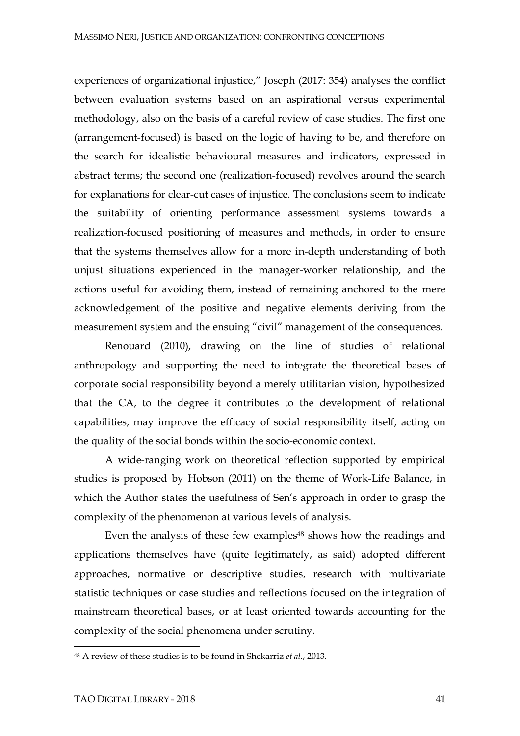experiences of organizational injustice," Joseph (2017: 354) analyses the conflict between evaluation systems based on an aspirational versus experimental methodology, also on the basis of a careful review of case studies. The first one (arrangement-focused) is based on the logic of having to be, and therefore on the search for idealistic behavioural measures and indicators, expressed in abstract terms; the second one (realization-focused) revolves around the search for explanations for clear-cut cases of injustice. The conclusions seem to indicate the suitability of orienting performance assessment systems towards a realization-focused positioning of measures and methods, in order to ensure that the systems themselves allow for a more in-depth understanding of both unjust situations experienced in the manager-worker relationship, and the actions useful for avoiding them, instead of remaining anchored to the mere acknowledgement of the positive and negative elements deriving from the measurement system and the ensuing "civil" management of the consequences.

Renouard (2010), drawing on the line of studies of relational anthropology and supporting the need to integrate the theoretical bases of corporate social responsibility beyond a merely utilitarian vision, hypothesized that the CA, to the degree it contributes to the development of relational capabilities, may improve the efficacy of social responsibility itself, acting on the quality of the social bonds within the socio-economic context.

A wide-ranging work on theoretical reflection supported by empirical studies is proposed by Hobson (2011) on the theme of Work-Life Balance, in which the Author states the usefulness of Sen's approach in order to grasp the complexity of the phenomenon at various levels of analysis.

Even the analysis of these few examples<sup>48</sup> shows how the readings and applications themselves have (quite legitimately, as said) adopted different approaches, normative or descriptive studies, research with multivariate statistic techniques or case studies and reflections focused on the integration of mainstream theoretical bases, or at least oriented towards accounting for the complexity of the social phenomena under scrutiny.

-

<sup>48</sup> A review of these studies is to be found in Shekarriz *et al*., 2013.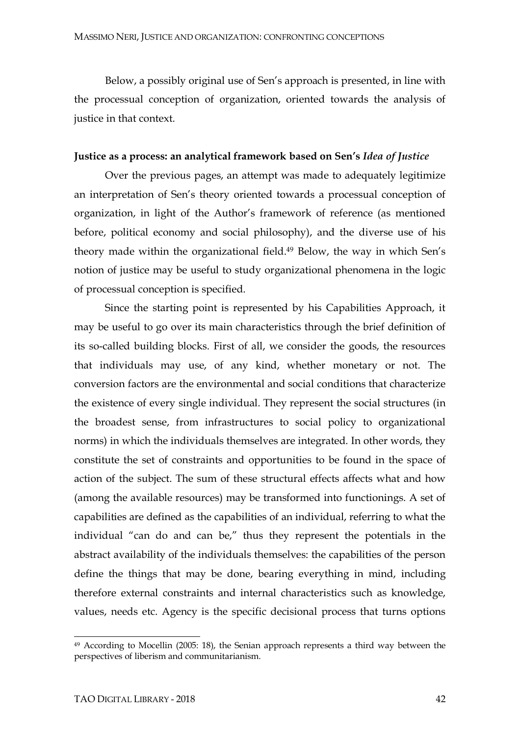Below, a possibly original use of Sen's approach is presented, in line with the processual conception of organization, oriented towards the analysis of justice in that context.

#### **Justice as a process: an analytical framework based on Sen's** *Idea of Justice*

Over the previous pages, an attempt was made to adequately legitimize an interpretation of Sen's theory oriented towards a processual conception of organization, in light of the Author's framework of reference (as mentioned before, political economy and social philosophy), and the diverse use of his theory made within the organizational field. <sup>49</sup> Below, the way in which Sen's notion of justice may be useful to study organizational phenomena in the logic of processual conception is specified.

Since the starting point is represented by his Capabilities Approach, it may be useful to go over its main characteristics through the brief definition of its so-called building blocks. First of all, we consider the goods, the resources that individuals may use, of any kind, whether monetary or not. The conversion factors are the environmental and social conditions that characterize the existence of every single individual. They represent the social structures (in the broadest sense, from infrastructures to social policy to organizational norms) in which the individuals themselves are integrated. In other words, they constitute the set of constraints and opportunities to be found in the space of action of the subject. The sum of these structural effects affects what and how (among the available resources) may be transformed into functionings. A set of capabilities are defined as the capabilities of an individual, referring to what the individual "can do and can be," thus they represent the potentials in the abstract availability of the individuals themselves: the capabilities of the person define the things that may be done, bearing everything in mind, including therefore external constraints and internal characteristics such as knowledge, values, needs etc. Agency is the specific decisional process that turns options

<sup>&</sup>lt;sup>49</sup> According to Mocellin (2005: 18), the Senian approach represents a third way between the perspectives of liberism and communitarianism.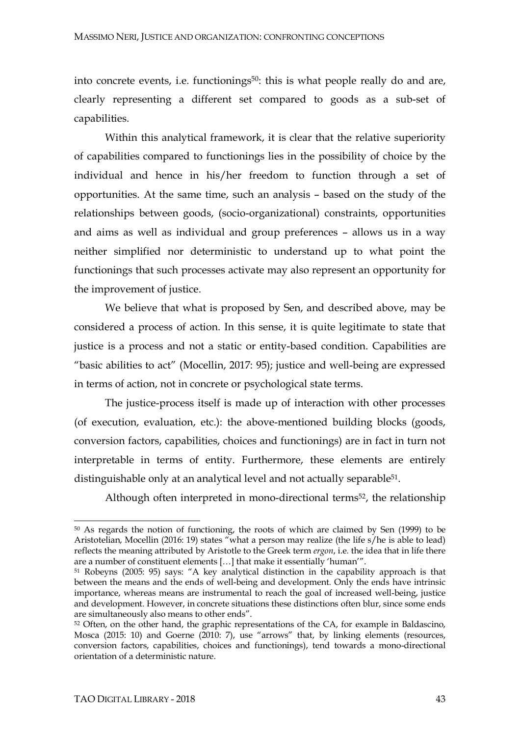into concrete events, i.e. functionings<sup>50</sup>: this is what people really do and are, clearly representing a different set compared to goods as a sub-set of capabilities.

Within this analytical framework, it is clear that the relative superiority of capabilities compared to functionings lies in the possibility of choice by the individual and hence in his/her freedom to function through a set of opportunities. At the same time, such an analysis – based on the study of the relationships between goods, (socio-organizational) constraints, opportunities and aims as well as individual and group preferences – allows us in a way neither simplified nor deterministic to understand up to what point the functionings that such processes activate may also represent an opportunity for the improvement of justice.

We believe that what is proposed by Sen, and described above, may be considered a process of action. In this sense, it is quite legitimate to state that justice is a process and not a static or entity-based condition. Capabilities are "basic abilities to act" (Mocellin, 2017: 95); justice and well-being are expressed in terms of action, not in concrete or psychological state terms.

The justice-process itself is made up of interaction with other processes (of execution, evaluation, etc.): the above-mentioned building blocks (goods, conversion factors, capabilities, choices and functionings) are in fact in turn not interpretable in terms of entity. Furthermore, these elements are entirely distinguishable only at an analytical level and not actually separable<sup>51</sup>.

Although often interpreted in mono-directional terms<sup>52</sup>, the relationship

<sup>50</sup> As regards the notion of functioning, the roots of which are claimed by Sen (1999) to be Aristotelian, Mocellin (2016: 19) states "what a person may realize (the life s/he is able to lead) reflects the meaning attributed by Aristotle to the Greek term *ergon*, i.e. the idea that in life there are a number of constituent elements […] that make it essentially 'human'".

<sup>51</sup> Robeyns (2005: 95) says: "A key analytical distinction in the capability approach is that between the means and the ends of well-being and development. Only the ends have intrinsic importance, whereas means are instrumental to reach the goal of increased well-being, justice and development. However, in concrete situations these distinctions often blur, since some ends are simultaneously also means to other ends".

<sup>&</sup>lt;sup>52</sup> Often, on the other hand, the graphic representations of the CA, for example in Baldascino, Mosca (2015: 10) and Goerne (2010: 7), use "arrows" that, by linking elements (resources, conversion factors, capabilities, choices and functionings), tend towards a mono-directional orientation of a deterministic nature.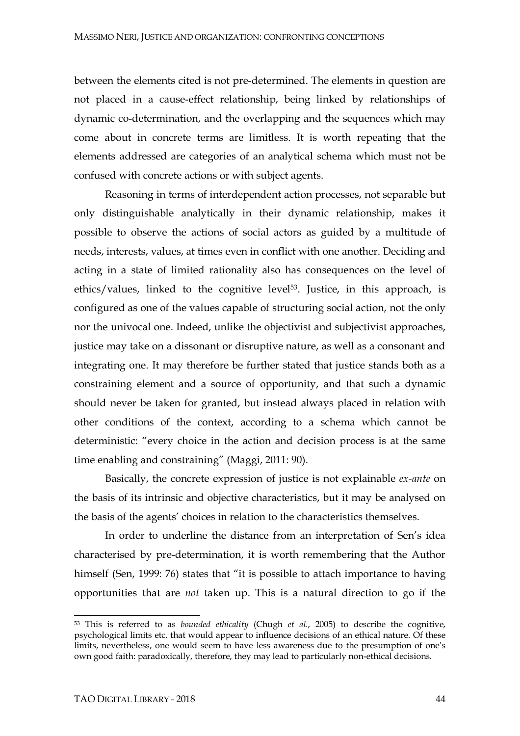between the elements cited is not pre-determined. The elements in question are not placed in a cause-effect relationship, being linked by relationships of dynamic co-determination, and the overlapping and the sequences which may come about in concrete terms are limitless. It is worth repeating that the elements addressed are categories of an analytical schema which must not be confused with concrete actions or with subject agents.

Reasoning in terms of interdependent action processes, not separable but only distinguishable analytically in their dynamic relationship, makes it possible to observe the actions of social actors as guided by a multitude of needs, interests, values, at times even in conflict with one another. Deciding and acting in a state of limited rationality also has consequences on the level of ethics/values, linked to the cognitive level<sup>53</sup>. Justice, in this approach, is configured as one of the values capable of structuring social action, not the only nor the univocal one. Indeed, unlike the objectivist and subjectivist approaches, justice may take on a dissonant or disruptive nature, as well as a consonant and integrating one. It may therefore be further stated that justice stands both as a constraining element and a source of opportunity, and that such a dynamic should never be taken for granted, but instead always placed in relation with other conditions of the context, according to a schema which cannot be deterministic: "every choice in the action and decision process is at the same time enabling and constraining" (Maggi, 2011: 90).

Basically, the concrete expression of justice is not explainable *ex-ante* on the basis of its intrinsic and objective characteristics, but it may be analysed on the basis of the agents' choices in relation to the characteristics themselves.

In order to underline the distance from an interpretation of Sen's idea characterised by pre-determination, it is worth remembering that the Author himself (Sen, 1999: 76) states that "it is possible to attach importance to having opportunities that are *not* taken up. This is a natural direction to go if the

<sup>53</sup> This is referred to as *bounded ethicality* (Chugh *et al*., 2005) to describe the cognitive, psychological limits etc. that would appear to influence decisions of an ethical nature. Of these limits, nevertheless, one would seem to have less awareness due to the presumption of one's own good faith: paradoxically, therefore, they may lead to particularly non-ethical decisions.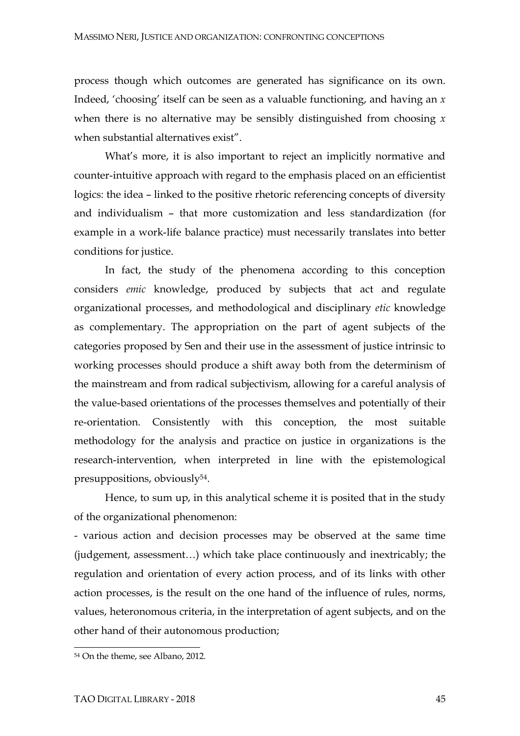process though which outcomes are generated has significance on its own. Indeed, 'choosing' itself can be seen as a valuable functioning, and having an *x*  when there is no alternative may be sensibly distinguished from choosing *x* when substantial alternatives exist".

What's more, it is also important to reject an implicitly normative and counter-intuitive approach with regard to the emphasis placed on an efficientist logics: the idea – linked to the positive rhetoric referencing concepts of diversity and individualism – that more customization and less standardization (for example in a work-life balance practice) must necessarily translates into better conditions for justice.

In fact, the study of the phenomena according to this conception considers *emic* knowledge, produced by subjects that act and regulate organizational processes, and methodological and disciplinary *etic* knowledge as complementary. The appropriation on the part of agent subjects of the categories proposed by Sen and their use in the assessment of justice intrinsic to working processes should produce a shift away both from the determinism of the mainstream and from radical subjectivism, allowing for a careful analysis of the value-based orientations of the processes themselves and potentially of their re-orientation. Consistently with this conception, the most suitable methodology for the analysis and practice on justice in organizations is the research-intervention, when interpreted in line with the epistemological presuppositions, obviously54.

Hence, to sum up, in this analytical scheme it is posited that in the study of the organizational phenomenon:

- various action and decision processes may be observed at the same time (judgement, assessment…) which take place continuously and inextricably; the regulation and orientation of every action process, and of its links with other action processes, is the result on the one hand of the influence of rules, norms, values, heteronomous criteria, in the interpretation of agent subjects, and on the other hand of their autonomous production;

<sup>54</sup> On the theme, see Albano, 2012.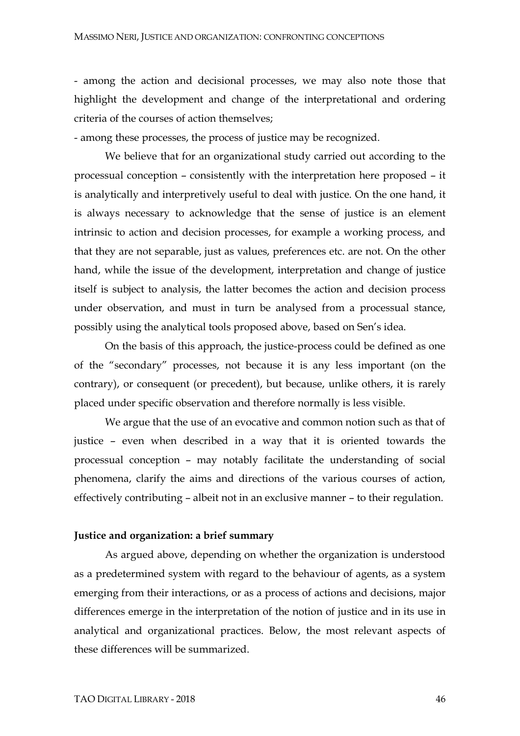- among the action and decisional processes, we may also note those that highlight the development and change of the interpretational and ordering criteria of the courses of action themselves;

- among these processes, the process of justice may be recognized.

We believe that for an organizational study carried out according to the processual conception – consistently with the interpretation here proposed – it is analytically and interpretively useful to deal with justice. On the one hand, it is always necessary to acknowledge that the sense of justice is an element intrinsic to action and decision processes, for example a working process, and that they are not separable, just as values, preferences etc. are not. On the other hand, while the issue of the development, interpretation and change of justice itself is subject to analysis, the latter becomes the action and decision process under observation, and must in turn be analysed from a processual stance, possibly using the analytical tools proposed above, based on Sen's idea.

On the basis of this approach, the justice-process could be defined as one of the "secondary" processes, not because it is any less important (on the contrary), or consequent (or precedent), but because, unlike others, it is rarely placed under specific observation and therefore normally is less visible.

We argue that the use of an evocative and common notion such as that of justice – even when described in a way that it is oriented towards the processual conception – may notably facilitate the understanding of social phenomena, clarify the aims and directions of the various courses of action, effectively contributing – albeit not in an exclusive manner – to their regulation.

#### **Justice and organization: a brief summary**

As argued above, depending on whether the organization is understood as a predetermined system with regard to the behaviour of agents, as a system emerging from their interactions, or as a process of actions and decisions, major differences emerge in the interpretation of the notion of justice and in its use in analytical and organizational practices. Below, the most relevant aspects of these differences will be summarized.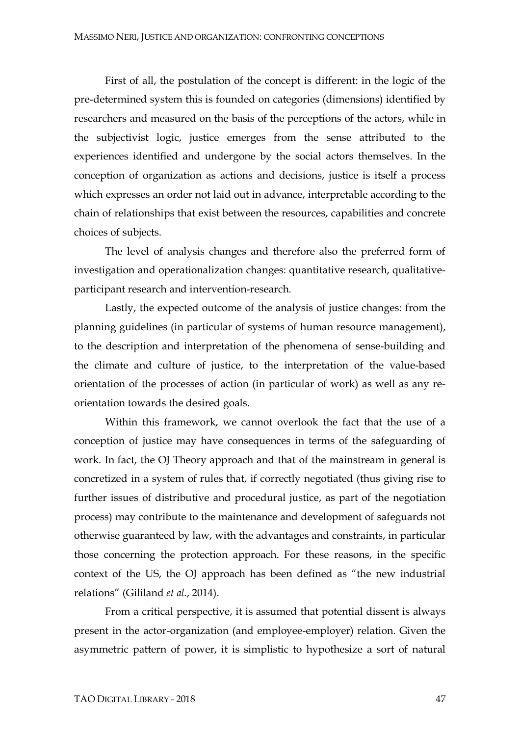First of all, the postulation of the concept is different: in the logic of the pre-determined system this is founded on categories (dimensions) identified by researchers and measured on the basis of the perceptions of the actors, while in the subjectivist logic, justice emerges from the sense attributed to the experiences identified and undergone by the social actors themselves. In the conception of organization as actions and decisions, justice is itself a process which expresses an order not laid out in advance, interpretable according to the chain of relationships that exist between the resources, capabilities and concrete choices of subjects.

The level of analysis changes and therefore also the preferred form of investigation and operationalization changes: quantitative research, qualitativeparticipant research and intervention-research.

Lastly, the expected outcome of the analysis of justice changes: from the planning guidelines (in particular of systems of human resource management), to the description and interpretation of the phenomena of sense-building and the climate and culture of justice, to the interpretation of the value-based orientation of the processes of action (in particular of work) as well as any reorientation towards the desired goals.

Within this framework, we cannot overlook the fact that the use of a conception of justice may have consequences in terms of the safeguarding of work. In fact, the OJ Theory approach and that of the mainstream in general is concretized in a system of rules that, if correctly negotiated (thus giving rise to further issues of distributive and procedural justice, as part of the negotiation process) may contribute to the maintenance and development of safeguards not otherwise guaranteed by law, with the advantages and constraints, in particular those concerning the protection approach. For these reasons, in the specific context of the US, the OJ approach has been defined as "the new industrial relations" (Gililand *et al*., 2014).

From a critical perspective, it is assumed that potential dissent is always present in the actor-organization (and employee-employer) relation. Given the asymmetric pattern of power, it is simplistic to hypothesize a sort of natural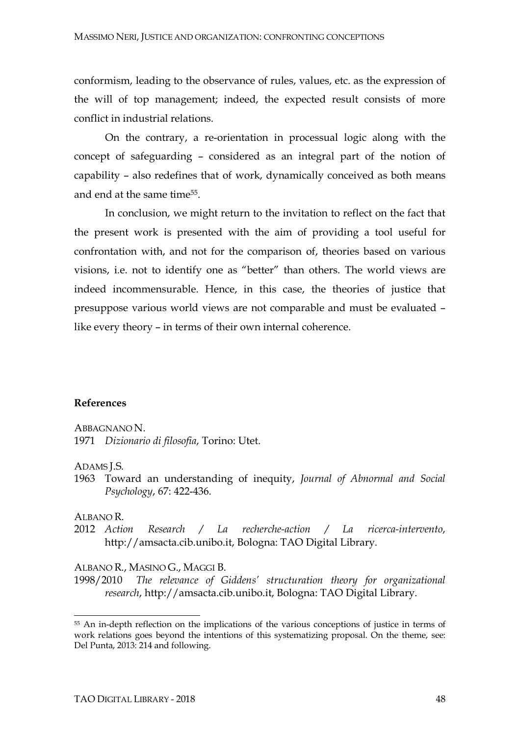conformism, leading to the observance of rules, values, etc. as the expression of the will of top management; indeed, the expected result consists of more conflict in industrial relations.

On the contrary, a re-orientation in processual logic along with the concept of safeguarding – considered as an integral part of the notion of capability – also redefines that of work, dynamically conceived as both means and end at the same time55.

In conclusion, we might return to the invitation to reflect on the fact that the present work is presented with the aim of providing a tool useful for confrontation with, and not for the comparison of, theories based on various visions, i.e. not to identify one as "better" than others. The world views are indeed incommensurable. Hence, in this case, the theories of justice that presuppose various world views are not comparable and must be evaluated – like every theory – in terms of their own internal coherence.

#### **References**

ABBAGNANO N.

1971 *Dizionario di filosofia*, Torino: Utet.

#### ADAMS J.S.

1963 Toward an understanding of inequity, *Journal of Abnormal and Social Psychology*, 67: 422-436.

#### ALBANO R.

l

2012 *Action Research / La recherche-action / La ricerca-intervento*, http://amsacta.cib.unibo.it, Bologna: TAO Digital Library.

#### ALBANO R., MASINO G., MAGGI B.

1998/2010 *The relevance of Giddens' structuration theory for organizational research*, http://amsacta.cib.unibo.it, Bologna: TAO Digital Library.

<sup>&</sup>lt;sup>55</sup> An in-depth reflection on the implications of the various conceptions of justice in terms of work relations goes beyond the intentions of this systematizing proposal. On the theme, see: Del Punta, 2013: 214 and following.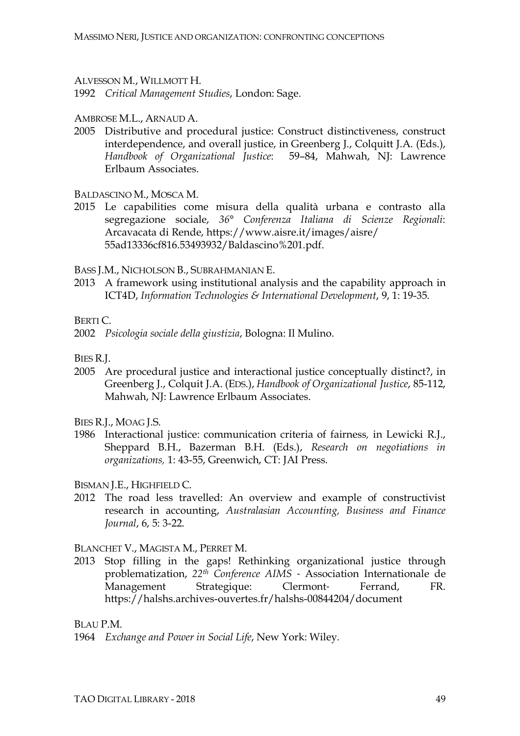ALVESSON M., WILLMOTT H.

1992 *Critical Management Studies*, London: Sage.

AMBROSE M.L., ARNAUD A.

2005 Distributive and procedural justice: Construct distinctiveness, construct interdependence, and overall justice, in Greenberg J., Colquitt J.A. (Eds.), *Handbook of Organizational Justice*:59–84, Mahwah, NJ: Lawrence Erlbaum Associates.

BALDASCINO M., MOSCA M.

2015 Le capabilities come misura della qualità urbana e contrasto alla segregazione sociale, *36° Conferenza Italiana di Scienze Regionali*: Arcavacata di Rende, https://www.aisre.it/images/aisre/ 55ad13336cf816.53493932/Baldascino%201.pdf.

BASS J.M., NICHOLSON B., SUBRAHMANIAN E.

2013 A framework using institutional analysis and the capability approach in ICT4D, *Information Technologies & International Development*, 9, 1: 19-35.

BERTI C.

2002 *Psicologia sociale della giustizia*, Bologna: Il Mulino.

BIES R.J.

2005 Are procedural justice and interactional justice conceptually distinct?, in Greenberg J., Colquit J.A. (EDS.), *Handbook of Organizational Justice*, 85-112, Mahwah, NJ: Lawrence Erlbaum Associates.

BIES R.J., MOAG J.S.

1986 Interactional justice: communication criteria of fairness*,* in Lewicki R.J., Sheppard B.H., Bazerman B.H. (Eds.), *Research on negotiations in organizations,* 1: 43-55, Greenwich, CT: JAI Press.

BISMAN J.E., HIGHFIELD C.

2012 The road less travelled: An overview and example of constructivist research in accounting, *Australasian Accounting, Business and Finance Journal*, 6, 5: 3-22.

BLANCHET V., MAGISTA M., PERRET M.

2013 Stop filling in the gaps! Rethinking organizational justice through problematization, *22th Conference AIMS* ‐ Association Internationale de Management Strategique: Clermont- Ferrand, FR. https://halshs.archives-ouvertes.fr/halshs-00844204/document

BLAU P.M.

1964 *Exchange and Power in Social Life*, New York: Wiley.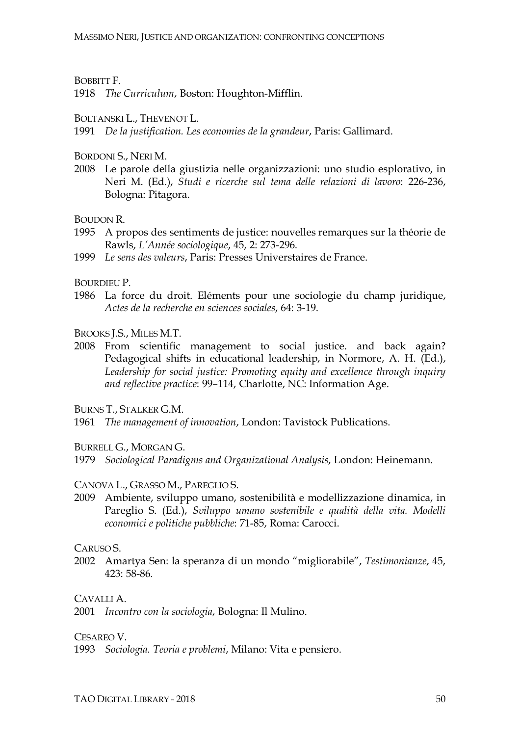#### BOBBITT F.

1918 *The Curriculum*, Boston: Houghton-Mifflin.

#### BOLTANSKI L., THEVENOT L.

1991 *De la justification. Les economies de la grandeur*, Paris: Gallimard.

#### BORDONI S., NERI M.

2008 Le parole della giustizia nelle organizzazioni: uno studio esplorativo, in Neri M. (Ed.), *Studi e ricerche sul tema delle relazioni di lavoro*: 226-236, Bologna: Pitagora.

BOUDON R

- 1995 A propos des sentiments de justice: nouvelles remarques sur la théorie de Rawls, *L'Année sociologique*, 45, 2: 273-296.
- 1999 *Le sens des valeurs*, Paris: Presses Universtaires de France.

BOURDIEU P.

1986 La force du droit. Eléments pour une sociologie du champ juridique, *Actes de la recherche en sciences sociales*, 64: 3-19.

BROOKS J.S., MILES M.T.

2008 From scientific management to social justice. and back again? Pedagogical shifts in educational leadership, in Normore, A. H. (Ed.), *Leadership for social justice: Promoting equity and excellence through inquiry and reflective practice*: 99–114, Charlotte, NC: Information Age.

BURNS T., STALKER G.M.

1961 *The management of innovation*, London: Tavistock Publications.

BURRELL G., MORGAN G.

1979 *Sociological Paradigms and Organizational Analysis*, London: Heinemann.

#### CANOVA L., GRASSO M., PAREGLIO S.

2009 Ambiente, sviluppo umano, sostenibilità e modellizzazione dinamica, in Pareglio S. (Ed.), *Sviluppo umano sostenibile e qualità della vita. Modelli economici e politiche pubbliche*: 71-85, Roma: Carocci.

#### CARUSO S.

2002 Amartya Sen: la speranza di un mondo "migliorabile", *Testimonianze*, 45, 423: 58-86.

CAVALLI A.

2001 *Incontro con la sociologia*, Bologna: Il Mulino.

CESAREO V.

1993 *Sociologia. Teoria e problemi*, Milano: Vita e pensiero.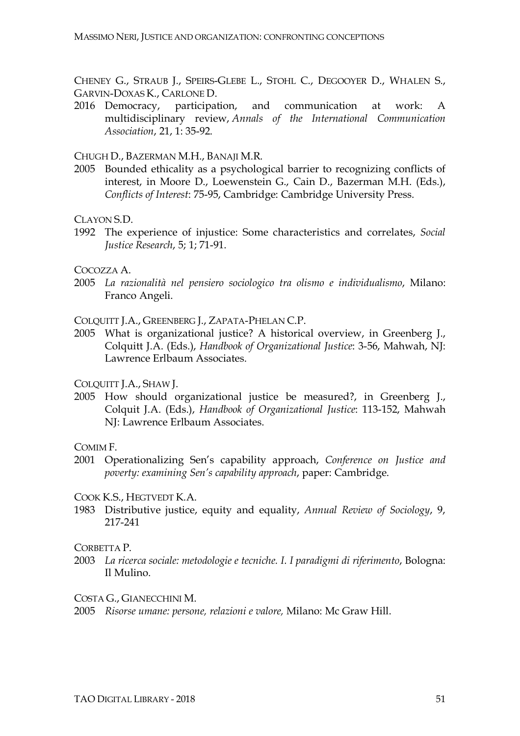CHENEY G., STRAUB J., SPEIRS-GLEBE L., STOHL C., DEGOOYER D., WHALEN S., GARVIN-DOXAS K., CARLONE D.

2016 Democracy, participation, and communication at work: A multidisciplinary review, *Annals of the International Communication Association*, 21, 1: 35-92.

CHUGH D., BAZERMAN M.H., BANAJI M.R.

2005 Bounded ethicality as a psychological barrier to recognizing conflicts of interest, in Moore D., Loewenstein G., Cain D., Bazerman M.H. (Eds.), *Conflicts of Interest*: 75-95, Cambridge: Cambridge University Press.

CLAYON S.D.

1992 The experience of injustice: Some characteristics and correlates, *Social Justice Research*, 5; 1; 71-91.

COCOZZA A.

2005 *La razionalità nel pensiero sociologico tra olismo e individualismo*, Milano: Franco Angeli.

COLQUITT J.A., GREENBERG J., ZAPATA-PHELAN C.P.

2005 What is organizational justice? A historical overview, in Greenberg J., Colquitt J.A. (Eds.), *Handbook of Organizational Justice*: 3-56, Mahwah, NJ: Lawrence Erlbaum Associates.

COLQUITT J.A., SHAW J.

2005 How should organizational justice be measured?, in Greenberg J., Colquit J.A. (Eds.), *Handbook of Organizational Justice*: 113-152, Mahwah NJ: Lawrence Erlbaum Associates.

COMIM F.

2001 Operationalizing Sen's capability approach, *Conference on Justice and poverty: examining Sen's capability approach*, paper: Cambridge.

COOK K.S., HEGTVEDT K.A.

1983 Distributive justice, equity and equality, *Annual Review of Sociology*, 9, 217-241

CORBETTA P.

2003 *La ricerca sociale: metodologie e tecniche. I. I paradigmi di riferimento*, Bologna: Il Mulino.

COSTA G., GIANECCHINI M.

2005 *Risorse umane: persone, relazioni e valore,* Milano: Mc Graw Hill.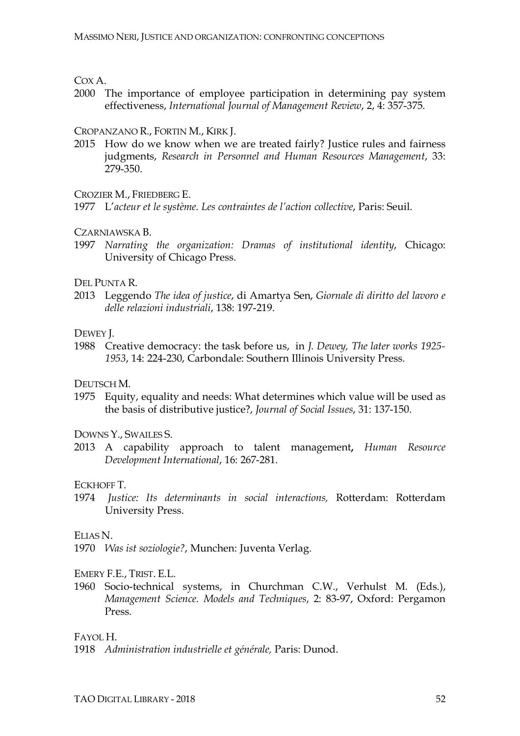COX A.

2000 The importance of employee participation in determining pay system effectiveness, *International Journal of Management Review*, 2, 4: 357-375.

#### CROPANZANO R., FORTIN M., KIRK J.

2015 How do we know when we are treated fairly? Justice rules and fairness judgments, *Research in Personnel and Human Resources Management*, 33: 279-350.

CROZIER M., FRIEDBERG E.

1977 L'*acteur et le système. Les contraintes de l'action collective*, Paris: Seuil.

CZARNIAWSKA B.

1997 *Narrating the organization: Dramas of institutional identity*, Chicago: University of Chicago Press.

DEL PUNTA R.

2013 Leggendo *The idea of justice*, di Amartya Sen, *Giornale di diritto del lavoro e delle relazioni industriali*, 138: 197-219.

DEWEY J.

1988 Creative democracy: the task before us, in *J. Dewey, The later works 1925- 1953*, 14: 224-230, Carbondale: Southern Illinois University Press.

DEUTSCH M.

1975 Equity, equality and needs: What determines which value will be used as the basis of distributive justice?, *Journal of Social Issues*, 31: 137-150.

DOWNS Y., SWAILES S.

2013 A capability approach to talent management**,** *Human Resource Development International*, 16: 267-281.

ECKHOFF T.

1974 *Justice: Its determinants in social interactions,* Rotterdam: Rotterdam University Press.

ELIAS N.

1970 *Was ist soziologie?*, Munchen: Juventa Verlag.

EMERY F.E., TRIST. E.L.

1960 Socio-technical systems, in Churchman C.W., Verhulst M. (Eds.), *Management Science. Models and Techniques*, 2: 83-97, Oxford: Pergamon Press.

FAYOL H.

<sup>1918</sup> *Administration industrielle et générale,* Paris: Dunod.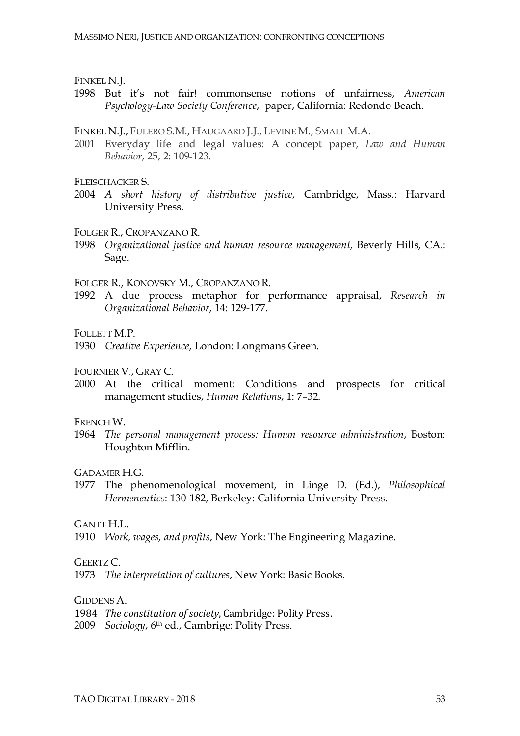FINKEL N.J.

1998 But it's not fair! commonsense notions of unfairness, *American Psychology-Law Society Conference*, paper, California: Redondo Beach.

FINKEL N.J., FULERO S.M., HAUGAARD J.J., LEVINE M., SMALL M.A.

2001 Everyday life and legal values: A concept paper, *Law and Human Behavior*, 25, 2: 109-123.

FLEISCHACKER S.

- 2004 *A short history of distributive justice*, Cambridge, Mass.: Harvard University Press.
- FOLGER R., CROPANZANO R.
- 1998 *Organizational justice and human resource management,* Beverly Hills, CA.: Sage.

FOLGER R., KONOVSKY M., CROPANZANO R.

1992 A due process metaphor for performance appraisal, *Research in Organizational Behavior*, 14: 129-177.

FOLLETT M.P.

1930 *Creative Experience*, London: Longmans Green.

FOURNIER V., GRAY C.

2000 At the critical moment: Conditions and prospects for critical management studies, *Human Relations*, 1: 7–32.

#### FRENCH W.

1964 *The personal management process: Human resource administration*, Boston: Houghton Mifflin.

GADAMER H.G.

1977 The phenomenological movement, in Linge D. (Ed.), *Philosophical Hermeneutics*: 130-182, Berkeley: California University Press.

GANTT H.L.

1910 *Work, wages, and profits*, New York: The Engineering Magazine.

GEERTZ C.

1973 *The interpretation of cultures*, New York: Basic Books.

GIDDENS A.

1984 *The constitution of society*, Cambridge: Polity Press.

2009 *Sociology*, 6th ed., Cambrige: Polity Press.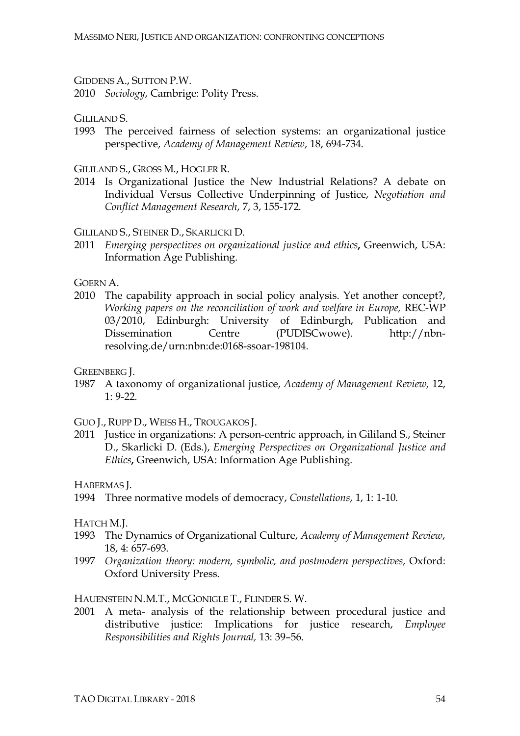GIDDENS A., SUTTON P.W.

2010 *Sociology*, Cambrige: Polity Press.

GILILAND S.

1993 The perceived fairness of selection systems: an organizational justice perspective, *Academy of Management Review*, 18, 694-734.

GILILAND S., GROSS M., HOGLER R.

2014 Is Organizational Justice the New Industrial Relations? A debate on Individual Versus Collective Underpinning of Justice, *Negotiation and Conflict Management Research*, 7, 3, 155-172.

GILILAND S., STEINER D., SKARLICKI D.

2011 *Emerging perspectives on organizational justice and ethics***,** Greenwich, USA: Information Age Publishing.

GOERN A.

2010 The capability approach in social policy analysis. Yet another concept?, *Working papers on the reconciliation of work and welfare in Europe,* REC-WP 03/2010, Edinburgh: University of Edinburgh, Publication and Dissemination Centre (PUDISCwowe). http://nbnresolving.de/urn:nbn:de:0168-ssoar-198104.

GREENBERG J.

1987 A taxonomy of organizational justice, *Academy of Management Review,* 12, 1: 9-22.

GUO J., RUPP D., WEISS H., TROUGAKOS J.

2011 Justice in organizations: A person-centric approach, in Gililand S., Steiner D., Skarlicki D. (Eds.), *Emerging Perspectives on Organizational Justice and Ethics***,** Greenwich, USA: Information Age Publishing.

HABERMAS J.

1994 Three normative models of democracy, *Constellations*, 1, 1: 1-10.

HATCH M.J.

- 1993 The Dynamics of Organizational Culture, *Academy of Management Review*, 18, 4: 657-693.
- 1997 *Organization theory: modern, symbolic, and postmodern perspectives*, Oxford: Oxford University Press.

HAUENSTEIN N.M.T., MCGONIGLE T., FLINDER S. W.

2001 A meta- analysis of the relationship between procedural justice and distributive justice: Implications for justice research, *Employee Responsibilities and Rights Journal,* 13: 39–56.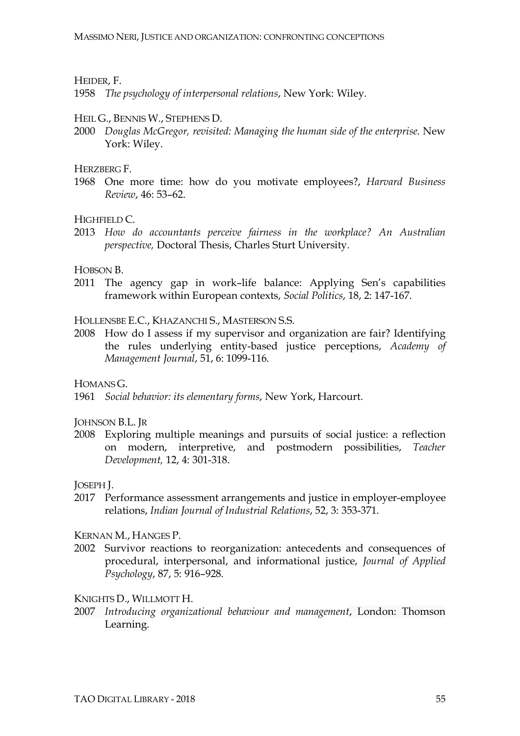#### HEIDER, F.

1958 *The psychology of interpersonal relations*, New York: Wiley.

#### HEIL G., BENNIS W., STEPHENS D.

2000 *Douglas McGregor, revisited: Managing the human side of the enterprise.* New York: Wiley.

HERZBERG F.

1968 One more time: how do you motivate employees?, *Harvard Business Review*, 46: 53–62.

HIGHELD  $C$ 

2013 *How do accountants perceive fairness in the workplace? An Australian perspective,* Doctoral Thesis, Charles Sturt University.

#### HOBSON B.

2011 The agency gap in work–life balance: Applying Sen's capabilities framework within European contexts, *Social Politics*, 18, 2: 147-167.

HOLLENSBE E.C., KHAZANCHI S., MASTERSON S.S.

2008 How do I assess if my supervisor and organization are fair? Identifying the rules underlying entity-based justice perceptions, *Academy of Management Journal*, 51, 6: 1099-116.

HOMANS G.

1961 *Social behavior: its elementary forms*, New York, Harcourt.

JOHNSON B.L. JR

2008 Exploring multiple meanings and pursuits of social justice: a reflection on modern, interpretive, and postmodern possibilities, *Teacher Development,* 12, 4: 301-318.

JOSEPH J.

2017 Performance assessment arrangements and justice in employer-employee relations, *Indian Journal of Industrial Relations*, 52, 3: 353-371.

KERNAN M., HANGES P.

2002 Survivor reactions to reorganization: antecedents and consequences of procedural, interpersonal, and informational justice, *Journal of Applied Psychology*, 87, 5: 916–928.

KNIGHTS D., WILLMOTT H.

2007 *Introducing organizational behaviour and management*, London: Thomson Learning.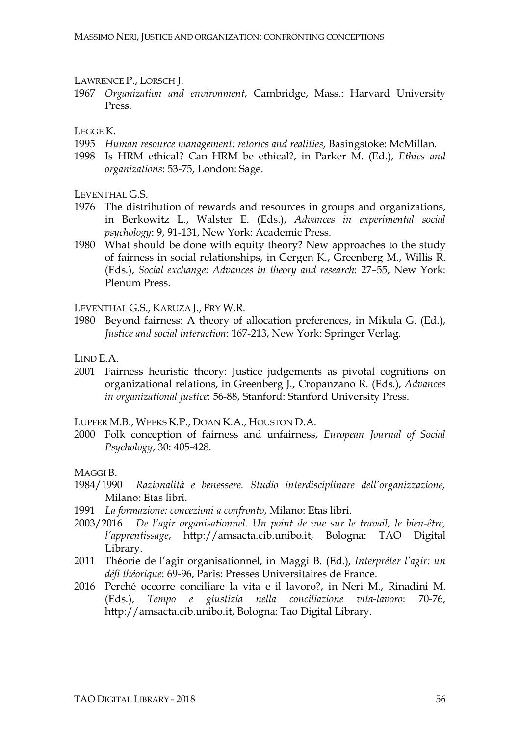LAWRENCE P., LORSCH J.

1967 *Organization and environment*, Cambridge, Mass.: Harvard University Press.

LEGGE K.

- 1995 *Human resource management: retorics and realities*, Basingstoke: McMillan.
- 1998 Is HRM ethical? Can HRM be ethical?, in Parker M. (Ed.), *Ethics and organizations*: 53-75, London: Sage.

LEVENTHAL G.S.

- 1976 The distribution of rewards and resources in groups and organizations, in Berkowitz L., Walster E. (Eds.), *Advances in experimental social psychology*: 9, 91-131, New York: Academic Press.
- 1980 What should be done with equity theory? New approaches to the study of fairness in social relationships, in Gergen K., Greenberg M., Willis R. (Eds.), *Social exchange: Advances in theory and research*: 27–55, New York: Plenum Press.

LEVENTHAL G.S., KARUZA J., FRY W.R.

- 1980 Beyond fairness: A theory of allocation preferences, in Mikula G. (Ed.), *Justice and social interaction*: 167-213, New York: Springer Verlag.
- LIND E.A.
- 2001 Fairness heuristic theory: Justice judgements as pivotal cognitions on organizational relations, in Greenberg J., Cropanzano R. (Eds.), *Advances in organizational justice*: 56-88, Stanford: Stanford University Press.

LUPFER M.B., WEEKS K.P., DOAN K.A., HOUSTON D.A.

2000 Folk conception of fairness and unfairness, *European Journal of Social Psychology*, 30: 405-428.

MAGGI B.

- 1984/1990 *Razionalità e benessere. Studio interdisciplinare dell'organizzazione,* Milano: Etas libri.
- 1991 *La formazione: concezioni a confronto*, Milano: Etas libri.
- 2003/2016 *De l'agir organisationnel*. *Un point de vue sur le travail, le bien-être, l'apprentissage*, http://amsacta.cib.unibo.it, Bologna: TAO Digital Library.
- 2011 Théorie de l'agir organisationnel, in Maggi B. (Ed.), *Interpréter l'agir: un défi théorique*: 69-96, Paris: Presses Universitaires de France.
- 2016 Perché occorre conciliare la vita e il lavoro?, in Neri M., Rinadini M. (Eds.), *Tempo e giustizia nella conciliazione vita-lavoro*: 70-76, http://amsacta.cib.unibo.it, Bologna: Tao Digital Library.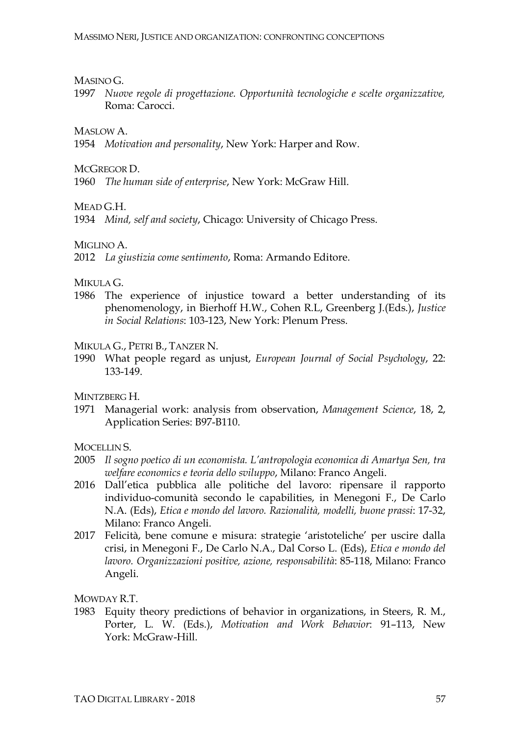#### MASINO G.

1997 *Nuove regole di progettazione. Opportunità tecnologiche e scelte organizzative,*  Roma: Carocci.

### MASLOW A

1954 *Motivation and personality*, New York: Harper and Row.

#### MCGREGOR D.

1960 *The human side of enterprise*, New York: McGraw Hill.

MEAD G.H.

1934 *Mind, self and society*, Chicago: University of Chicago Press.

#### MIGLINO A.

2012 *La giustizia come sentimento*, Roma: Armando Editore.

#### MIKULA G.

1986 The experience of injustice toward a better understanding of its phenomenology, in Bierhoff H.W., Cohen R.L, Greenberg J.(Eds.), *Justice in Social Relations*: 103-123, New York: Plenum Press.

#### MIKULA G., PETRI B., TANZER N.

1990 What people regard as unjust, *European Journal of Social Psychology*, 22: 133-149.

MINTZBERG H.

1971 Managerial work: analysis from observation, *Management Science*, 18, 2, Application Series: B97-B110.

MOCELLIN S.

- 2005 *Il sogno poetico di un economista. L'antropologia economica di Amartya Sen, tra welfare economics e teoria dello sviluppo*, Milano: Franco Angeli.
- 2016 Dall'etica pubblica alle politiche del lavoro: ripensare il rapporto individuo-comunità secondo le capabilities, in Menegoni F., De Carlo N.A. (Eds), *Etica e mondo del lavoro. Razionalità, modelli, buone prassi*: 17-32, Milano: Franco Angeli.
- 2017 Felicità, bene comune e misura: strategie 'aristoteliche' per uscire dalla crisi, in Menegoni F., De Carlo N.A., Dal Corso L. (Eds), *Etica e mondo del lavoro. Organizzazioni positive, azione, responsabilità*: 85-118, Milano: Franco Angeli.

MOWDAY R.T.

1983 Equity theory predictions of behavior in organizations, in Steers, R. M., Porter, L. W. (Eds.), *Motivation and Work Behavior*: 91–113, New York: McGraw-Hill.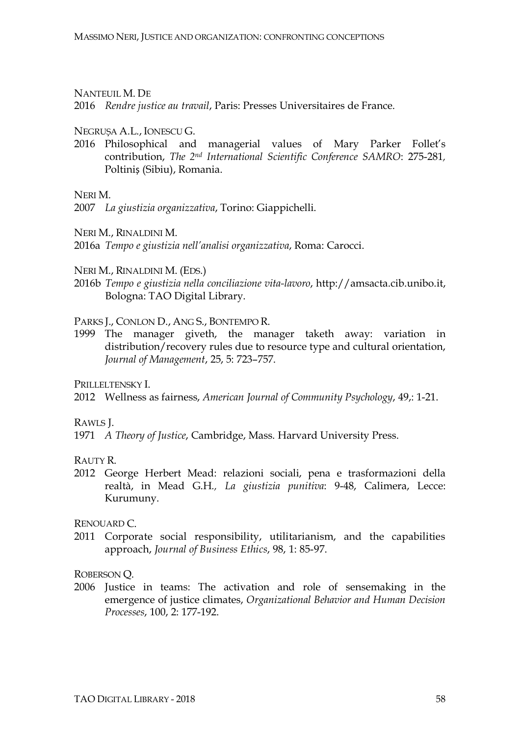NANTEUIL M. DE

2016 *Rendre justice au travail*, Paris: Presses Universitaires de France.

NEGRUȘA A.L., IONESCU G.

2016 Philosophical and managerial values of Mary Parker Follet's contribution, *The 2nd International Scientific Conference SAMRO*: 275-281*,*  Poltiniș (Sibiu), Romania.

NERI M.

2007 *La giustizia organizzativa*, Torino: Giappichelli.

NERI M., RINALDINI M.

2016a *Tempo e giustizia nell'analisi organizzativa*, Roma: Carocci.

NERI M., RINALDINI M. (EDS.)

2016b *Tempo e giustizia nella conciliazione vita-lavoro*, http://amsacta.cib.unibo.it, Bologna: TAO Digital Library.

PARKS J., CONLON D., ANG S., BONTEMPO R.

1999 The manager giveth, the manager taketh away: variation in distribution/recovery rules due to resource type and cultural orientation, *Journal of Management*, 25, 5: 723–757.

PRILLELTENSKY I.

2012 Wellness as fairness, *American Journal of Community Psychology*, 49,: 1-21.

RAWLS J.

1971 *A Theory of Justice*, Cambridge, Mass. Harvard University Press.

RAUTY R.

2012 George Herbert Mead: relazioni sociali, pena e trasformazioni della realtà, in Mead G.H*., La giustizia punitiva*: 9-48, Calimera, Lecce: Kurumuny.

RENOUARD C.

2011 Corporate social responsibility, utilitarianism, and the capabilities approach, *Journal of Business Ethics*, 98, 1: 85-97.

ROBERSON Q.

2006 Justice in teams: The activation and role of sensemaking in the emergence of justice climates, *Organizational Behavior and Human Decision Processes*, 100, 2: 177-192.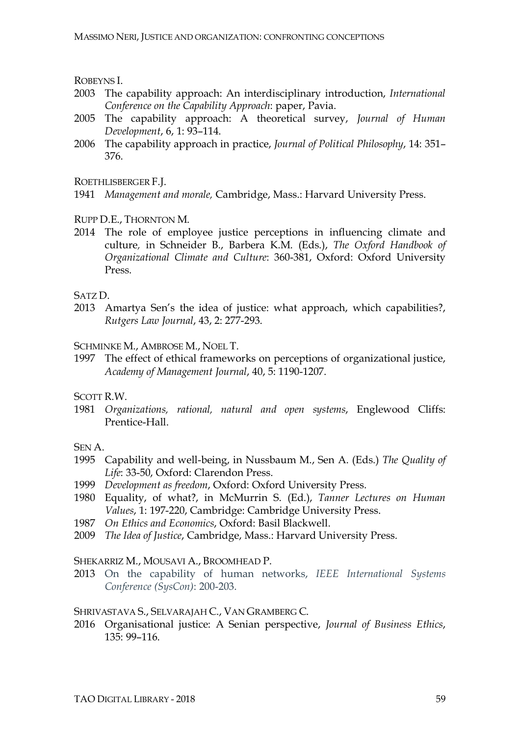ROBEYNS I.

- 2003 The capability approach: An interdisciplinary introduction, *International Conference on the Capability Approach*: paper, Pavia.
- 2005 The capability approach: A theoretical survey, *Journal of Human Development*, 6, 1: 93–114.
- 2006 The capability approach in practice, *Journal of Political Philosophy*, 14: 351– 376.

ROETHLISBERGER F.J.

- 1941 *Management and morale,* Cambridge, Mass.: Harvard University Press.
- RUPP D.E., THORNTON M.
- 2014 The role of employee justice perceptions in influencing climate and culture*,* in Schneider B., Barbera K.M. (Eds.), *The Oxford Handbook of Organizational Climate and Culture*: 360-381, Oxford: Oxford University Press.

SATZ D.

2013 Amartya Sen's the idea of justice: what approach, which capabilities?, *Rutgers Law Journal*, 43, 2: 277-293.

SCHMINKE M., AMBROSE M., NOEL T.

1997 The effect of ethical frameworks on perceptions of organizational justice, *Academy of Management Journal*, 40, 5: 1190-1207.

SCOTT R.W.

1981 *Organizations, rational, natural and open systems*, Englewood Cliffs: Prentice-Hall.

SEN A.

- 1995 Capability and well-being, in Nussbaum M., Sen A. (Eds.) *The Quality of Life*: 33-50, Oxford: Clarendon Press.
- 1999 *Development as freedom*, Oxford: Oxford University Press.
- 1980 Equality, of what?, in McMurrin S. (Ed.), *Tanner Lectures on Human Values*, 1: 197-220, Cambridge: Cambridge University Press.
- 1987 *On Ethics and Economics*, Oxford: Basil Blackwell.
- 2009 *The Idea of Justice*, Cambridge, Mass.: Harvard University Press.

#### SHEKARRIZ M., MOUSAVI A., BROOMHEAD P.

2013 On the capability of human networks, *IEEE International Systems Conference (SysCon)*: 200-203.

#### SHRIVASTAVA S., SELVARAJAH C., VAN GRAMBERG C.

2016 Organisational justice: A Senian perspective, *Journal of Business Ethics*, 135: 99–116.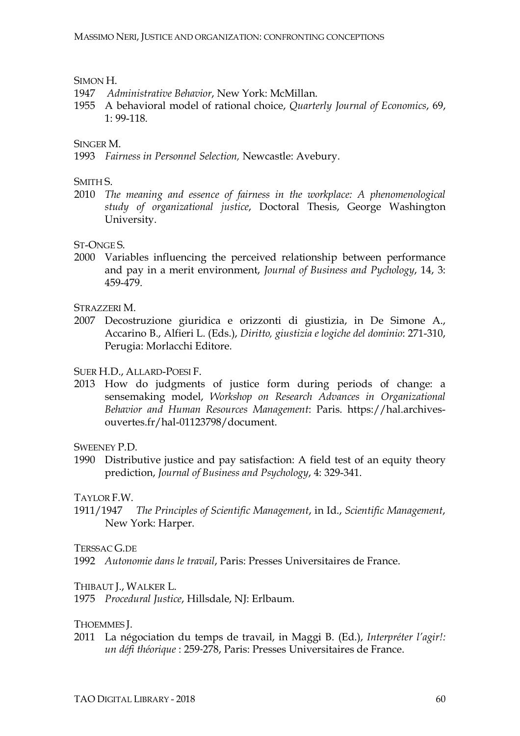#### SIMON H.

- 1947 *Administrative Behavior*, New York: McMillan.
- 1955 A behavioral model of rational choice, *Quarterly Journal of Economics*, 69, 1: 99-118.

#### SINGER M.

1993 *Fairness in Personnel Selection,* Newcastle: Avebury.

#### SMITH S.

2010 *The meaning and essence of fairness in the workplace: A phenomenological study of organizational justice*, Doctoral Thesis, George Washington University.

#### ST-ONGE S.

2000 Variables influencing the perceived relationship between performance and pay in a merit environment, *Journal of Business and Pychology*, 14, 3: 459-479.

STRAZZERI M.

2007 Decostruzione giuridica e orizzonti di giustizia, in De Simone A., Accarino B., Alfieri L. (Eds.), *Diritto, giustizia e logiche del dominio*: 271-310, Perugia: Morlacchi Editore.

### SUER H.D., ALLARD-POESI F.

2013 How do judgments of justice form during periods of change: a sensemaking model, *Workshop on Research Advances in Organizational Behavior and Human Resources Management*: Paris. https://hal.archivesouvertes.fr/hal-01123798/document.

SWEENEY P.D.

1990 Distributive justice and pay satisfaction: A field test of an equity theory prediction, *Journal of Business and Psychology*, 4: 329-341.

#### TAYLOR F.W.

1911/1947 *The Principles of Scientific Management*, in Id., *Scientific Management*, New York: Harper.

TERSSAC G.DE

1992 *Autonomie dans le travail*, Paris: Presses Universitaires de France.

#### THIBAUT J., WALKER L.

1975 *Procedural Justice*, Hillsdale, NJ: Erlbaum.

#### THOEMMES J.

2011 La négociation du temps de travail, in Maggi B. (Ed.), *Interpréter l'agir!: un défi théorique* : 259‐278, Paris: Presses Universitaires de France.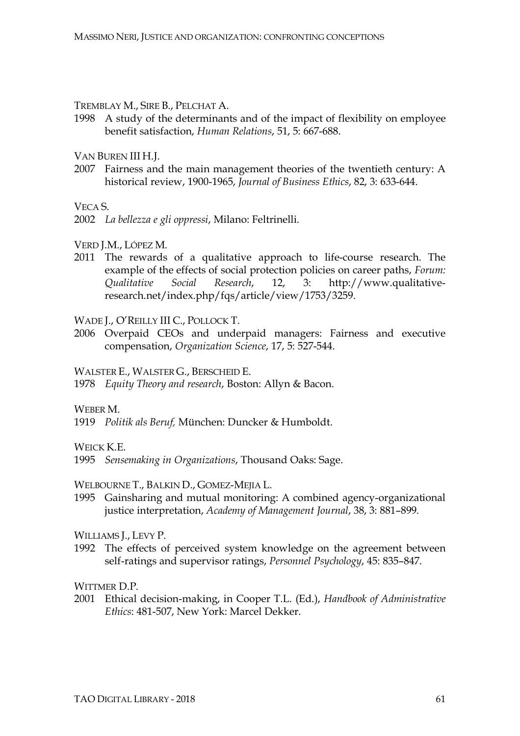TREMBLAY M., SIRE B., PELCHAT A.

1998 A study of the determinants and of the impact of flexibility on employee benefit satisfaction, *Human Relations*, 51, 5: 667-688.

VAN BUREN III H.J.

2007 Fairness and the main management theories of the twentieth century: A historical review, 1900-1965, *Journal of Business Ethics*, 82, 3: 633-644.

VECA S.

VERD J.M., LÓPEZ M.

2011 The rewards of a qualitative approach to life-course research. The example of the effects of social protection policies on career paths, *Forum: Qualitative Social Research*, 12, 3: http://www.qualitativeresearch.net/index.php/fqs/article/view/1753/3259.

#### WADE J., O'REILLY III C., POLLOCK T.

2006 Overpaid CEOs and underpaid managers: Fairness and executive compensation, *Organization Science*, 17, 5: 527-544.

WALSTER E., WALSTER G., BERSCHEID E.

1978 *Equity Theory and research*, Boston: Allyn & Bacon.

WEBER M.

1919 *Politik als Beruf,* München: Duncker & Humboldt.

WEICK K.E.

1995 *Sensemaking in Organizations*, Thousand Oaks: Sage.

WELBOURNE T., BALKIN D., GOMEZ-MEJIA L.

1995 Gainsharing and mutual monitoring: A combined agency-organizational justice interpretation, *Academy of Management Journal*, 38, 3: 881–899.

WILLIAMS **J.**, LEVY P.

1992 The effects of perceived system knowledge on the agreement between self-ratings and supervisor ratings, *Personnel Psychology*, 45: 835–847.

WITTMER D.P.

2001 Ethical decision-making, in Cooper T.L. (Ed.), *Handbook of Administrative Ethics*: 481-507, New York: Marcel Dekker.

<sup>2002</sup> *La bellezza e gli oppressi*, Milano: Feltrinelli.